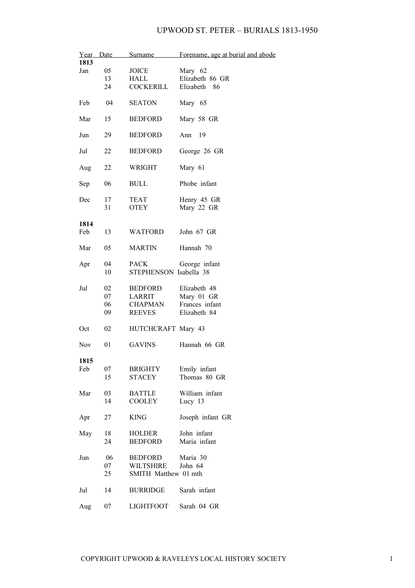## UPWOOD ST. PETER – BURIALS 1813-1950

|            | Year Date | Surname                               | Forename, age at burial and abode |
|------------|-----------|---------------------------------------|-----------------------------------|
| 1813       |           |                                       |                                   |
| Jan        | 05        | JOICE                                 | Mary 62                           |
|            | 13        | HALL                                  | Elizabeth 86 GR                   |
|            | 24        | <b>COCKERILL</b>                      | Elizabeth<br>- 86                 |
| Feb        | 04        | <b>SEATON</b>                         | Mary 65                           |
| Mar        | 15        | <b>BEDFORD</b>                        | Mary 58 GR                        |
| Jun        | 29        | <b>BEDFORD</b>                        | Ann $19$                          |
| Jul        | 22        | <b>BEDFORD</b>                        | George 26 GR                      |
| Aug        | 22        | <b>WRIGHT</b>                         | Mary 61                           |
| Sep        | 06        | <b>BULL</b>                           | Phobe infant                      |
| Dec        | 17<br>31  | <b>TEAT</b><br>OTEY                   | Henry 45 GR<br>Mary 22 GR         |
| 1814       |           |                                       |                                   |
| Feb        | 13        | WATFORD                               | John 67 GR                        |
| Mar        | 05        | <b>MARTIN</b>                         | Hannah 70                         |
| Apr        | 04<br>10  | <b>PACK</b><br>STEPHENSON Isabella 38 | George infant                     |
|            |           |                                       |                                   |
| Jul        | 02        | <b>BEDFORD</b>                        | Elizabeth 48                      |
|            | 07        | LARRIT                                | Mary 01 GR                        |
|            | 06        | <b>CHAPMAN</b>                        | Frances infant                    |
|            | 09        | REEVES                                | Elizabeth 84                      |
| Oct        | 02        | HUTCHCRAFT Mary 43                    |                                   |
| <b>Nov</b> | 01        | <b>GAVINS</b>                         | Hannah 66 GR                      |
| 1815       |           |                                       |                                   |
| Feb        | 07        | <b>BRIGHTY</b>                        | Emily infant                      |
|            | 15        | STACEY                                | Thomas 80 GR                      |
|            |           |                                       |                                   |
| Mar        | 03<br>14  | <b>BATTLE</b><br><b>COOLEY</b>        | William infant<br>Lucy 13         |
| Apr        | 27        | <b>KING</b>                           | Joseph infant GR                  |
|            |           |                                       |                                   |
| May        | 18<br>24  | <b>HOLDER</b><br><b>BEDFORD</b>       | John infant<br>Maria infant       |
|            |           |                                       |                                   |
| Jun        | 06        | <b>BEDFORD</b>                        | Maria 30                          |
|            | 07        | WILTSHIRE                             | John 64                           |
|            | 25        | SMITH Matthew 01 mth                  |                                   |
|            |           |                                       |                                   |
| Jul        | 14        | <b>BURRIDGE</b>                       | Sarah infant                      |
| Aug        | 07        | <b>LIGHTFOOT</b>                      | Sarah 04 GR                       |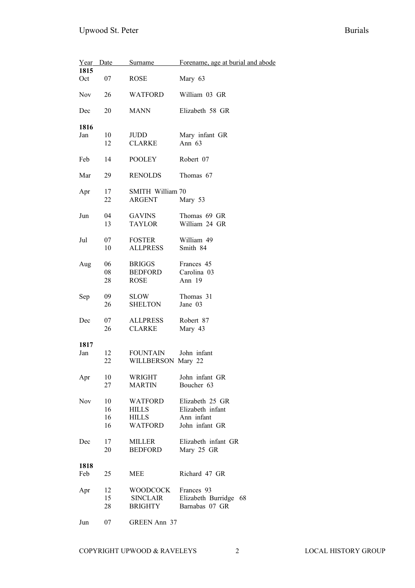| Year Date   |    | Surname            | Forename, age at burial and abode |
|-------------|----|--------------------|-----------------------------------|
| 1815<br>Oct | 07 | ROSE               | Mary 63                           |
| <b>Nov</b>  | 26 | <b>WATFORD</b>     | William 03 GR                     |
| Dec         | 20 | <b>MANN</b>        | Elizabeth 58 GR                   |
|             |    |                    |                                   |
| 1816        |    |                    |                                   |
| Jan         | 10 | JUDD               | Mary infant GR                    |
|             | 12 | <b>CLARKE</b>      | Ann $63$                          |
| Feb         | 14 | <b>POOLEY</b>      | Robert 07                         |
| Mar         | 29 | <b>RENOLDS</b>     | Thomas 67                         |
|             |    |                    |                                   |
| Apr         | 17 | SMITH William 70   |                                   |
|             | 22 | ARGENT             | Mary 53                           |
| Jun         | 04 | GAVINS             | Thomas 69 GR                      |
|             | 13 | TAYLOR             | William 24 GR                     |
| Jul         | 07 | <b>FOSTER</b>      | William 49                        |
|             | 10 | ALLPRESS           | Smith 84                          |
|             |    |                    |                                   |
| Aug         | 06 | <b>BRIGGS</b>      | Frances 45                        |
|             | 08 | <b>BEDFORD</b>     | Carolina 03                       |
|             | 28 | ROSE               | Ann 19                            |
| Sep         | 09 | SLOW               | Thomas 31                         |
|             | 26 | SHELTON            | Jane 03                           |
|             |    |                    |                                   |
| Dec         | 07 | <b>ALLPRESS</b>    | Robert 87                         |
|             | 26 | CLARKE             | Mary 43                           |
| 1817        |    |                    |                                   |
| Jan         | 12 | <b>FOUNTAIN</b>    | John infant                       |
|             | 22 | WILLBERSON Mary 22 |                                   |
| Apr         | 10 | WRIGHT             | John infant GR                    |
|             | 27 | MARTIN             | Boucher 63                        |
| <b>Nov</b>  | 10 | <b>WATFORD</b>     | Elizabeth 25 GR                   |
|             | 16 | HILLS              | Elizabeth infant                  |
|             | 16 | <b>HILLS</b>       | Ann infant                        |
|             | 16 | WATFORD            | John infant GR                    |
| Dec         | 17 | MILLER             | Elizabeth infant GR               |
|             | 20 | <b>BEDFORD</b>     | Mary 25 GR                        |
|             |    |                    |                                   |
| 1818<br>Feb | 25 | MEE                | Richard 47 GR                     |
|             |    |                    |                                   |
| Apr         | 12 | WOODCOCK           | Frances 93                        |
|             | 15 | <b>SINCLAIR</b>    | Elizabeth Burridge<br>68          |
|             | 28 | BRIGHTY            | Barnabas 07 GR                    |
| Jun         | 07 | GREEN Ann 37       |                                   |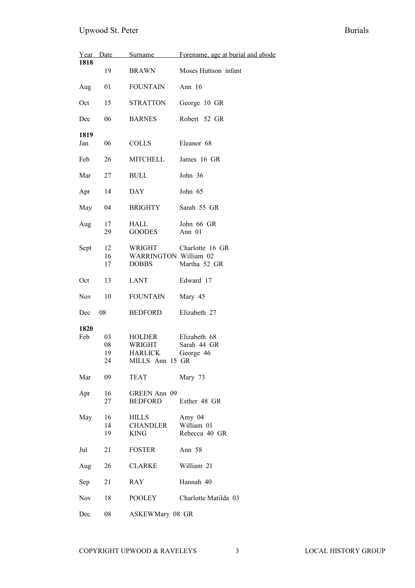| 1818       | <u>Year Date</u> | Surname                                                | Forename, age at burial and abode |
|------------|------------------|--------------------------------------------------------|-----------------------------------|
|            | 19               | <b>BRAWN</b>                                           | Moses Huttson infant              |
| Aug        | 01               | <b>FOUNTAIN</b>                                        | Ann $16$                          |
| Oct        | 15               | <b>STRATTON</b>                                        | George 10 GR                      |
| Dec        | 06               | <b>BARNES</b>                                          | Robert 52 GR                      |
| 1819       |                  |                                                        |                                   |
| Jan        | 06               | COLLS                                                  | Eleanor 68                        |
| Feb        | 26               | <b>MITCHELL</b>                                        | James 16 GR                       |
| Mar        | 27               | <b>BULL</b>                                            | John 36                           |
| Apr        | 14               | <b>DAY</b>                                             | John 65                           |
| May        | 04               | <b>BRIGHTY</b>                                         | Sarah 55 GR                       |
| Aug        | 17<br>29         | HALL<br><b>GOODES</b>                                  | John 66 GR<br>Ann 01              |
| Sept       | 12<br>16<br>17   | WRIGHT<br><b>WARRINGTON William 02</b><br><b>DOBBS</b> | Charlotte 16 GR<br>Martha 52 GR   |
| Oct        | 13               | LANT                                                   | Edward 17                         |
| Nov        | 10               | <b>FOUNTAIN</b>                                        | Mary 45                           |
| Dec        | 08               | <b>BEDFORD</b>                                         | Elizabeth 27                      |
| 1820       |                  |                                                        |                                   |
| Feb        | 03               | HOLDER                                                 | Elizabeth 68                      |
|            | 08               | WRIGHT                                                 | Sarah 44 GR                       |
|            | 19               | HARLICK                                                | George 46                         |
|            | 24               | MILLS Ann 15 GR                                        |                                   |
| Mar        | 09.              | TEAT                                                   | Mary 73                           |
| Apr        | 16               | <b>GREEN Ann 09</b>                                    |                                   |
|            | 27               | <b>BEDFORD</b>                                         | Esther 48 GR                      |
| May        | 16               | <b>HILLS</b>                                           | Amy 04                            |
|            | 14               | <b>CHANDLER</b>                                        | William 01                        |
|            | 19               | KING                                                   | Rebecca 40 GR                     |
| Jul        | 21               | FOSTER                                                 | Ann 58                            |
| Aug        | 26               | CLARKE                                                 | William 21                        |
| Sep        | 21               | <b>RAY</b>                                             | Hannah 40                         |
| <b>Nov</b> | 18               | <b>POOLEY</b>                                          | Charlotte Matilda 03              |
| Dec        | 08               | ASKEWMary 08 GR                                        |                                   |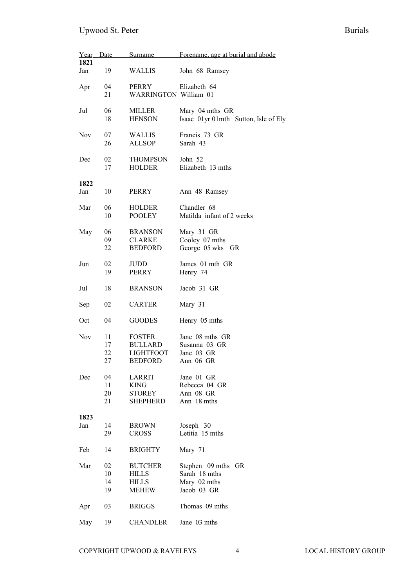| Year Date<br>1821 |          | <u>Surname</u>                     | Forename, age at burial and abode    |
|-------------------|----------|------------------------------------|--------------------------------------|
|                   |          |                                    |                                      |
| Jan               | 19       | WALLIS                             | John 68 Ramsey                       |
| Apr               | 04       | PERRY                              | Elizabeth 64                         |
|                   | 21       | WARRINGTON William 01              |                                      |
| Jul               | 06       | MILLER                             | Mary 04 mths GR                      |
|                   | 18       | <b>HENSON</b>                      | Isaac 01yr 01mth Sutton, Isle of Ely |
| <b>Nov</b>        | 07       | WALLIS                             | Francis 73 GR                        |
|                   | 26       | <b>ALLSOP</b>                      | Sarah 43                             |
|                   |          |                                    |                                      |
| Dec               | 02       | THOMPSON                           | John 52                              |
|                   | 17       | HOLDER                             | Elizabeth 13 mths                    |
|                   |          |                                    |                                      |
| 1822              |          |                                    |                                      |
| Jan               | 10       | <b>PERRY</b>                       | Ann 48 Ramsey                        |
| Mar               | 06       | HOLDER                             | Chandler 68                          |
|                   | 10       | <b>POOLEY</b>                      | Matilda infant of 2 weeks            |
|                   |          |                                    |                                      |
| May               | 06       | <b>BRANSON</b>                     | Mary 31 GR                           |
|                   | 09       | <b>CLARKE</b>                      | Cooley 07 mths                       |
|                   | 22       | <b>BEDFORD</b>                     | George 05 wks GR                     |
|                   |          |                                    |                                      |
| Jun               | 02       | <b>JUDD</b>                        | James 01 mth GR                      |
|                   | 19       | PERRY                              | Henry 74                             |
| Jul               | 18       | <b>BRANSON</b>                     | Jacob 31 GR                          |
|                   |          |                                    |                                      |
| Sep               | 02       | <b>CARTER</b>                      | Mary 31                              |
| Oct               | 04       | <b>GOODES</b>                      | Henry 05 mths                        |
|                   |          |                                    |                                      |
| <b>Nov</b>        | 11<br>17 | <b>FOSTER</b>                      | Jane 08 mths GR<br>Susanna 03 GR     |
|                   | 22       | <b>BULLARD</b><br><b>LIGHTFOOT</b> | Jane 03 GR                           |
|                   | 27       | <b>BEDFORD</b>                     | Ann 06 GR                            |
|                   |          |                                    |                                      |
| Dec               | 04       | LARRIT                             | Jane 01 GR                           |
|                   | 11       | <b>KING</b>                        | Rebecca 04 GR                        |
|                   | 20       | <b>STOREY</b>                      | Ann 08 GR                            |
|                   | 21       | <b>SHEPHERD</b>                    | Ann 18 mths                          |
|                   |          |                                    |                                      |
| 1823              |          |                                    |                                      |
| Jan               | 14       | <b>BROWN</b>                       | Joseph 30<br>Letitia 15 mths         |
|                   | 29       | <b>CROSS</b>                       |                                      |
| Feb               | 14       | <b>BRIGHTY</b>                     | Mary 71                              |
|                   |          |                                    |                                      |
| Mar               | 02       | <b>BUTCHER</b>                     | Stephen 09 mths<br>GR.               |
|                   | 10       | <b>HILLS</b>                       | Sarah 18 mths                        |
|                   | 14       | <b>HILLS</b>                       | Mary 02 mths                         |
|                   | 19       | <b>MEHEW</b>                       | Jacob 03 GR                          |
| Apr               | 03       | <b>BRIGGS</b>                      | Thomas 09 mths                       |
| May               | 19       | <b>CHANDLER</b>                    | Jane 03 mths                         |
|                   |          |                                    |                                      |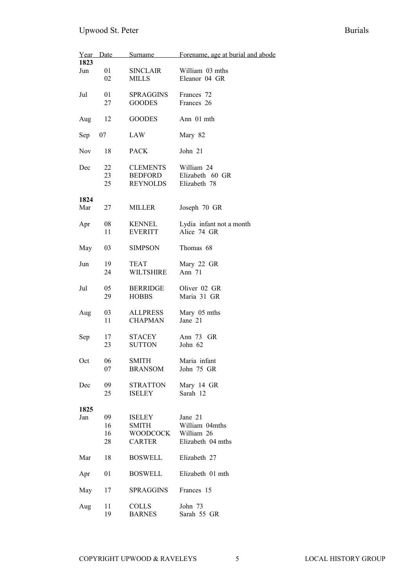|            | Year Date | <u>Surname</u>   | Forename, age at burial and abode |
|------------|-----------|------------------|-----------------------------------|
| 1823       |           |                  |                                   |
| Jun        | 01        | <b>SINCLAIR</b>  | William 03 mths                   |
|            | 02        | MILLS            | Eleanor 04 GR                     |
|            |           |                  |                                   |
| Jul        | 01        | <b>SPRAGGINS</b> | Frances 72                        |
|            | 27        | <b>GOODES</b>    | Frances 26                        |
|            |           |                  |                                   |
|            |           |                  |                                   |
| Aug        | 12        | <b>GOODES</b>    | Ann 01 mth                        |
|            |           |                  |                                   |
| Sep        | 07        | LAW              | Mary 82                           |
|            |           |                  |                                   |
| <b>Nov</b> | 18        | PACK             | John 21                           |
|            |           |                  |                                   |
| Dec        | 22        | CLEMENTS         | William 24                        |
|            | 23        | BEDFORD          | Elizabeth 60 GR                   |
|            | 25        | REYNOLDS         | Elizabeth 78                      |
|            |           |                  |                                   |
|            |           |                  |                                   |
| 1824       |           |                  |                                   |
| Mar        | 27        | MILLER           | Joseph 70 GR                      |
|            |           |                  |                                   |
| Apr        | 08        | <b>KENNEL</b>    | Lydia infant not a month          |
|            | 11        | <b>EVERITT</b>   | Alice 74 GR                       |
|            |           |                  |                                   |
| May        | 03        | <b>SIMPSON</b>   | Thomas 68                         |
|            |           |                  |                                   |
| Jun        | 19        | TEAT             | Mary 22 GR                        |
|            | 24        | <b>WILTSHIRE</b> | Ann 71                            |
|            |           |                  |                                   |
|            |           |                  |                                   |
| Jul        | 05        | <b>BERRIDGE</b>  | Oliver 02 GR                      |
|            | 29        | <b>HOBBS</b>     | Maria 31 GR                       |
|            |           |                  |                                   |
| Aug        | 03        | <b>ALLPRESS</b>  | Mary 05 mths                      |
|            | 11        | <b>CHAPMAN</b>   | Jane 21                           |
|            |           |                  |                                   |
| Sep        | 17        | STACEY           | Ann 73 GR                         |
|            | 23        | <b>SUTTON</b>    | John 62                           |
|            |           |                  |                                   |
| Oct        | 06        |                  | Maria infant                      |
|            |           | <b>SMITH</b>     |                                   |
|            | 07        | <b>BRANSOM</b>   | John 75 GR                        |
|            |           |                  |                                   |
| Dec        | 09        | <b>STRATTON</b>  | Mary 14 GR                        |
|            | 25        | ISELEY           | Sarah 12                          |
|            |           |                  |                                   |
| 1825       |           |                  |                                   |
| Jan        | 09        | ISELEY           | Jane 21                           |
|            | 16        | SMITH            | William 04mths                    |
|            | 16        | WOODCOCK         | William 26                        |
|            |           |                  |                                   |
|            | 28        | CARTER           | Elizabeth 04 mths                 |
|            |           |                  |                                   |
| Mar        | 18        | <b>BOSWELL</b>   | Elizabeth 27                      |
|            |           |                  |                                   |
| Apr        | 01        | <b>BOSWELL</b>   | Elizabeth 01 mth                  |
|            |           |                  |                                   |
| May        | 17        | <b>SPRAGGINS</b> | Frances 15                        |
|            |           |                  |                                   |
| Aug        | 11        | <b>COLLS</b>     | John 73                           |
|            | 19        | <b>BARNES</b>    | Sarah 55 GR                       |
|            |           |                  |                                   |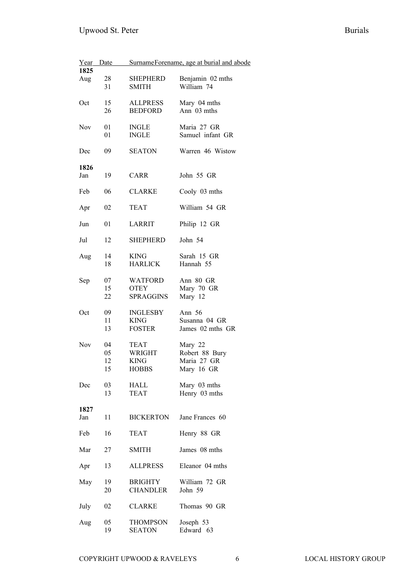| <b>Burials</b> |  |
|----------------|--|
|                |  |

| <u>Year</u> | Date     | SurnameForename, age at burial and abode |                          |
|-------------|----------|------------------------------------------|--------------------------|
| 1825        |          |                                          |                          |
| Aug         | 28       | <b>SHEPHERD</b>                          | Benjamin 02 mths         |
|             | 31       | SMITH                                    | William 74               |
| Oct         | 15       | <b>ALLPRESS</b>                          | Mary 04 mths             |
|             | 26       | <b>BEDFORD</b>                           | Ann 03 mths              |
|             |          |                                          |                          |
| Nov         | 01       | <b>INGLE</b>                             | Maria 27 GR              |
|             | 01       | <b>INGLE</b>                             | Samuel infant GR         |
|             |          |                                          |                          |
| Dec         | 09       | <b>SEATON</b>                            | Warren 46 Wistow         |
|             |          |                                          |                          |
| 1826        |          |                                          |                          |
| Jan         | 19       | CARR                                     | John 55 GR               |
| Feb         | 06       | <b>CLARKE</b>                            | Cooly 03 mths            |
|             |          |                                          |                          |
| Apr         | 02       | <b>TEAT</b>                              | William 54 GR            |
|             |          |                                          |                          |
| Jun         | 01       | LARRIT                                   | Philip 12 GR             |
|             |          |                                          |                          |
| Jul         | 12       | <b>SHEPHERD</b>                          | John 54                  |
|             |          |                                          | Sarah 15 GR              |
| Aug         | 14<br>18 | <b>KING</b><br><b>HARLICK</b>            | Hannah 55                |
|             |          |                                          |                          |
| Sep         | 07       | <b>WATFORD</b>                           | Ann 80 GR                |
|             | 15       | OTEY                                     | Mary 70 GR               |
|             | 22       | <b>SPRAGGINS</b>                         | Mary 12                  |
|             |          |                                          |                          |
| Oct         | 09       | <b>INGLESBY</b>                          | Ann 56                   |
|             | 11       | <b>KING</b>                              | Susanna 04 GR            |
|             | 13       | <b>FOSTER</b>                            | James 02 mths GR         |
| Nov         | 04       | TEAT                                     | Mary 22                  |
|             | 05       | WRIGHT                                   | Robert 88 Bury           |
|             | 12       | <b>KING</b>                              | Maria 27 GR              |
|             | 15       | <b>HOBBS</b>                             | Mary 16 GR               |
|             |          |                                          |                          |
| Dec         | 03       | HALL                                     | Mary 03 mths             |
|             | 13       | <b>TEAT</b>                              | Henry 03 mths            |
| 1827        |          |                                          |                          |
| Jan         | 11       | <b>BICKERTON</b>                         | Jane Frances 60          |
|             |          |                                          |                          |
| Feb         | 16       | <b>TEAT</b>                              | Henry 88 GR              |
|             |          |                                          |                          |
| Mar         | 27       | SMITH                                    | James 08 mths            |
|             |          |                                          |                          |
| Apr         | 13       | <b>ALLPRESS</b>                          | Eleanor 04 mths          |
|             |          |                                          |                          |
| May         | 19       | BRIGHTY<br><b>CHANDLER</b>               | William 72 GR<br>John 59 |
|             | 20       |                                          |                          |
| July        | 02       | CLARKE                                   | Thomas 90 GR             |
|             |          |                                          |                          |
| Aug         | 05       | <b>THOMPSON</b>                          | Joseph 53                |
|             | 19       | <b>SEATON</b>                            | Edward 63                |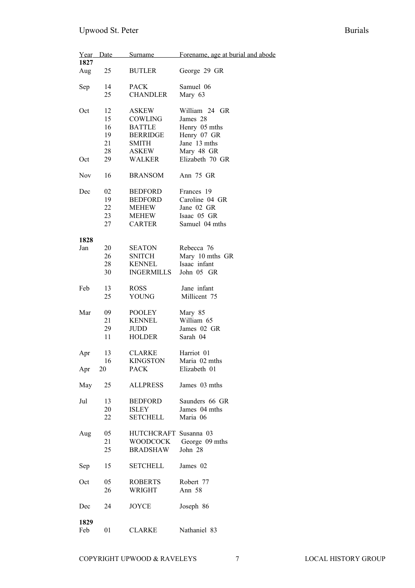|            | Year Date | Surname         | Forename, age at burial and abode |
|------------|-----------|-----------------|-----------------------------------|
| 1827       |           |                 |                                   |
| Aug        | 25        | <b>BUTLER</b>   | George 29 GR                      |
| Sep        | 14        | <b>PACK</b>     | Samuel 06                         |
|            | 25        | <b>CHANDLER</b> | Mary 63                           |
| Oct        | 12        | ASKEW           | William 24 GR                     |
|            | 15        | COWLING         | James 28                          |
|            | 16        | <b>BATTLE</b>   | Henry 05 mths                     |
|            | 19        | <b>BERRIDGE</b> | Henry 07 GR                       |
|            | 21        | SMITH           | Jane 13 mths                      |
|            | 28        | ASKEW           | Mary 48 GR                        |
| Oct        | 29        | WALKER          | Elizabeth 70 GR                   |
| <b>Nov</b> | 16        | <b>BRANSOM</b>  | Ann 75 GR                         |
| Dec        | 02        | <b>BEDFORD</b>  | Frances 19                        |
|            | 19        | <b>BEDFORD</b>  | Caroline 04 GR                    |
|            | 22        | MEHEW           | Jane 02 GR                        |
|            | 23        | MEHEW           | Isaac 05 GR                       |
|            | 27        | CARTER          | Samuel 04 mths                    |
| 1828       |           |                 |                                   |
| Jan        | 20        | SEATON          | Rebecca 76                        |
|            | 26        | SNITCH          | Mary 10 mths GR                   |
|            | 28        | <b>KENNEL</b>   | Isaac infant                      |
|            | 30        | INGERMILLS      | John 05 GR                        |
| Feb        | 13        | <b>ROSS</b>     | Jane infant                       |
|            | 25        | YOUNG           | Millicent 75                      |
| Mar        | 09        | <b>POOLEY</b>   | Mary 85                           |
|            | 21        | <b>KENNEL</b>   | William 65                        |
|            | 29        | <b>JUDD</b>     | James 02 GR                       |
|            | 11        | <b>HOLDER</b>   | Sarah 04                          |
| Apr        | 13        | CLARKE          | Harriot 01                        |
|            | 16        | <b>KINGSTON</b> | Maria 02 mths                     |
| Apr        | 20        | <b>PACK</b>     | Elizabeth 01                      |
| May        | 25        | ALLPRESS        | James 03 mths                     |
| Jul        | 13        | <b>BEDFORD</b>  | Saunders 66 GR                    |
|            | 20        | ISLEY           | James 04 mths                     |
|            | 22        | <b>SETCHELL</b> | Maria 06                          |
| Aug        | 05        | HUTCHCRAFT      | Susanna 03                        |
|            | 21        | <b>WOODCOCK</b> | George 09 mths                    |
|            | 25        | BRADSHAW        | John 28                           |
| Sep        | 15        | <b>SETCHELL</b> | James 02                          |
| Oct        | 05        | <b>ROBERTS</b>  | Robert 77                         |
|            | 26        | WRIGHT          | Ann 58                            |
| Dec        | 24        | JOYCE           |                                   |
|            |           |                 | Joseph 86                         |
| 1829       |           |                 |                                   |
| Feb        | 01        | CLARKE          | Nathaniel 83                      |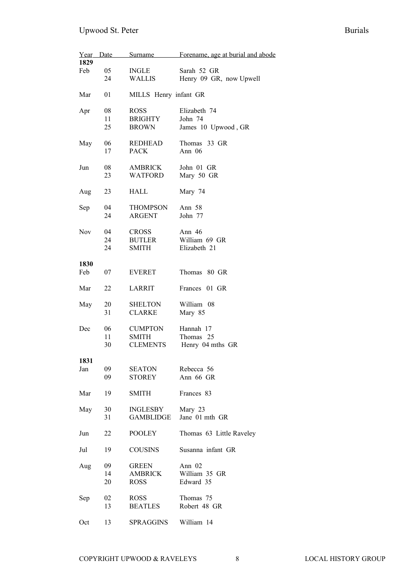| Buriais |  |
|---------|--|
|         |  |

| Year       | Date | <u>Surname</u>        | Forename, age at burial and abode |
|------------|------|-----------------------|-----------------------------------|
| 1829       |      |                       |                                   |
| Feb        | 05   | <b>INGLE</b>          | Sarah 52 GR                       |
|            | 24   | WALLIS                | Henry 09 GR, now Upwell           |
| Mar        | 01   | MILLS Henry infant GR |                                   |
| Apr        | 08   | <b>ROSS</b>           | Elizabeth 74                      |
|            | 11   | BRIGHTY               | John 74                           |
|            | 25   | BROWN                 | James 10 Upwood, GR               |
| May        | 06   | REDHEAD               | Thomas 33 GR                      |
|            | 17   | <b>PACK</b>           | Ann 06                            |
|            |      |                       |                                   |
| Jun        | 08   | AMBRICK               | John 01 GR                        |
|            | 23   | WATFORD               | Mary 50 GR                        |
| Aug        | 23   | HALL                  | Mary 74                           |
|            |      |                       |                                   |
| Sep        | 04   | THOMPSON              | Ann 58                            |
|            | 24   | ARGENT                | John 77                           |
| <b>Nov</b> | 04   | <b>CROSS</b>          | Ann $46$                          |
|            | 24   | <b>BUTLER</b>         | William 69 GR                     |
|            | 24   | SMITH                 | Elizabeth 21                      |
|            |      |                       |                                   |
| 1830       |      |                       |                                   |
| Feb        | 07   | <b>EVERET</b>         | Thomas 80 GR                      |
| Mar        | 22   | LARRIT                | Frances 01 GR                     |
|            |      |                       |                                   |
| May        | 20   | <b>SHELTON</b>        | William 08                        |
|            | 31   | <b>CLARKE</b>         | Mary 85                           |
| Dec        | 06   | <b>CUMPTON</b>        | Hannah 17                         |
|            | 11   | <b>SMITH</b>          | Thomas 25                         |
|            | 30   | <b>CLEMENTS</b>       | Henry 04 mths GR                  |
|            |      |                       |                                   |
| 1831       |      |                       |                                   |
| Jan        | 09   | SEATON                | Rebecca 56                        |
|            | 09   | STOREY                | Ann 66 GR                         |
| Mar        | 19   | <b>SMITH</b>          | Frances 83                        |
|            |      |                       |                                   |
| May        | 30   | <b>INGLESBY</b>       | Mary 23                           |
|            | 31   | <b>GAMBLIDGE</b>      | Jane 01 mth GR                    |
| Jun        | 22   | <b>POOLEY</b>         | Thomas 63 Little Raveley          |
|            |      |                       |                                   |
| Jul        | 19   | <b>COUSINS</b>        | Susanna infant GR                 |
| Aug        | 09   | <b>GREEN</b>          | Ann 02                            |
|            | 14   | AMBRICK               | William 35 GR                     |
|            | 20   | <b>ROSS</b>           | Edward 35                         |
|            |      |                       |                                   |
| Sep        | 02   | <b>ROSS</b>           | Thomas 75                         |
|            | 13   | <b>BEATLES</b>        | Robert 48 GR                      |
|            |      |                       |                                   |
| Oct        | 13   | <b>SPRAGGINS</b>      | William 14                        |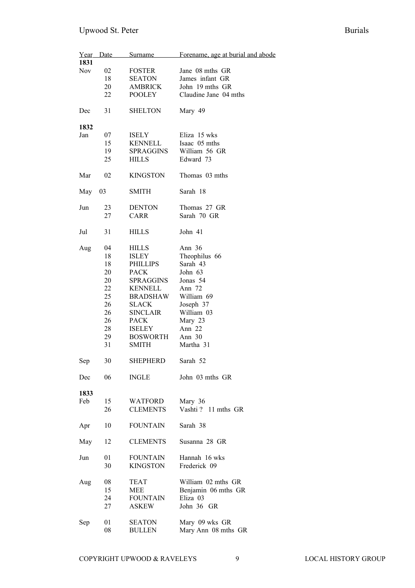| Year Date  |    | <u>Surname</u>   | Forename, age at burial and abode |
|------------|----|------------------|-----------------------------------|
| 1831       |    |                  |                                   |
| <b>Nov</b> | 02 | FOSTER           | Jane 08 mths GR                   |
|            | 18 | <b>SEATON</b>    | James infant GR                   |
|            | 20 | <b>AMBRICK</b>   | John 19 mths GR                   |
|            | 22 | POOLEY           | Claudine Jane 04 mths             |
|            |    |                  |                                   |
| Dec        | 31 | SHELTON          | Mary 49                           |
|            |    |                  |                                   |
| 1832       |    |                  |                                   |
| Jan        | 07 | ISELY            | Eliza 15 wks                      |
|            | 15 | KENNELL          | Isaac 05 mths                     |
|            | 19 | <b>SPRAGGINS</b> | William 56 GR                     |
|            | 25 | <b>HILLS</b>     | Edward 73                         |
|            |    |                  |                                   |
| Mar        | 02 | <b>KINGSTON</b>  | Thomas 03 mths                    |
| May        | 03 | SMITH            | Sarah 18                          |
| Jun        | 23 | <b>DENTON</b>    | Thomas 27 GR                      |
|            | 27 | <b>CARR</b>      | Sarah 70 GR                       |
|            |    |                  |                                   |
| Jul        | 31 | <b>HILLS</b>     | John 41                           |
| Aug        | 04 | <b>HILLS</b>     | Ann 36                            |
|            | 18 | ISLEY            | Theophilus 66                     |
|            | 18 | <b>PHILLIPS</b>  | Sarah 43                          |
|            |    |                  |                                   |
|            | 20 | <b>PACK</b>      | John 63                           |
|            | 20 | <b>SPRAGGINS</b> | Jonas 54                          |
|            | 22 | <b>KENNELL</b>   | Ann 72                            |
|            | 25 | <b>BRADSHAW</b>  | William 69                        |
|            | 26 | <b>SLACK</b>     | Joseph 37                         |
|            | 26 | SINCLAIR         | William 03                        |
|            |    |                  |                                   |
|            | 26 | <b>PACK</b>      | Mary 23                           |
|            | 28 | ISELEY           | Ann $22$                          |
|            | 29 | <b>BOSWORTH</b>  | Ann 30                            |
|            | 31 | SMITH            | Martha 31                         |
|            |    |                  |                                   |
| Sep        | 30 | <b>SHEPHERD</b>  | Sarah 52                          |
| Dec        | 06 | <b>INGLE</b>     | John 03 mths GR                   |
|            |    |                  |                                   |
| 1833       |    |                  |                                   |
| Feb        | 15 | WATFORD          | Mary 36                           |
|            | 26 | <b>CLEMENTS</b>  | Vashti? 11 mths GR                |
|            |    |                  |                                   |
| Apr        | 10 | <b>FOUNTAIN</b>  | Sarah 38                          |
|            |    |                  |                                   |
| May        | 12 | <b>CLEMENTS</b>  | Susanna 28 GR                     |
|            |    |                  |                                   |
| Jun        | 01 | <b>FOUNTAIN</b>  | Hannah 16 wks                     |
|            | 30 | KINGSTON         | Frederick 09                      |
|            |    |                  |                                   |
|            |    |                  |                                   |
| Aug        | 08 | TEAT             | William 02 mths GR                |
|            | 15 | MEE              | Benjamin 06 mths GR               |
|            | 24 | <b>FOUNTAIN</b>  | Eliza 03                          |
|            | 27 | ASKEW            | John 36 GR                        |
|            |    |                  |                                   |
| Sep        | 01 | SEATON           | Mary 09 wks GR                    |
|            | 08 | BULLEN           | Mary Ann 08 mths GR               |
|            |    |                  |                                   |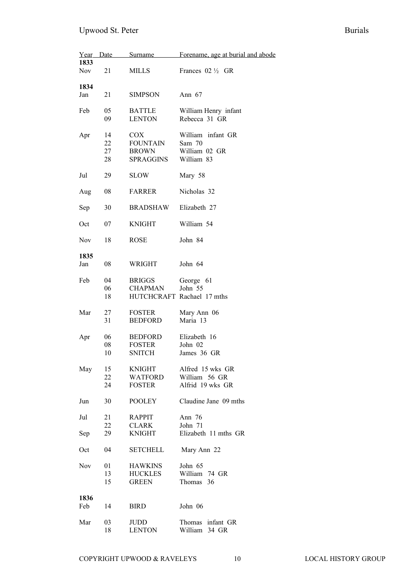| Year        | Date     | <u>Surname</u>                  | Forename, age at burial and abode |
|-------------|----------|---------------------------------|-----------------------------------|
| 1833        |          |                                 | Frances 02 1/2 GR                 |
| Nov         | 21       | MILLS                           |                                   |
| 1834        |          |                                 |                                   |
| Jan         | 21       | <b>SIMPSON</b>                  | Ann $67$                          |
| Feb         | 05       | <b>BATTLE</b>                   | William Henry infant              |
|             | 09       | <b>LENTON</b>                   | Rebecca 31 GR                     |
|             |          |                                 |                                   |
| Apr         | 14       | COX                             | William infant GR                 |
|             | 22       | FOUNTAIN                        | Sam 70                            |
|             | 27       | <b>BROWN</b>                    | William 02 GR                     |
|             | 28       | <b>SPRAGGINS</b>                | William 83                        |
| Jul         | 29       | <b>SLOW</b>                     | Mary 58                           |
| Aug         | 08       | FARRER                          | Nicholas 32                       |
| Sep         | 30       | BRADSHAW                        | Elizabeth 27                      |
| Oct         | 07       | <b>KNIGHT</b>                   | William 54                        |
|             |          |                                 |                                   |
| <b>Nov</b>  | 18       | ROSE                            | John 84                           |
| 1835        |          |                                 |                                   |
| Jan         | 08       | WRIGHT                          | John 64                           |
|             |          |                                 |                                   |
| Feb         | 04<br>06 | <b>BRIGGS</b><br><b>CHAPMAN</b> | George 61<br>John 55              |
|             | 18       |                                 | HUTCHCRAFT Rachael 17 mths        |
|             |          |                                 |                                   |
| Mar         | 27       | <b>FOSTER</b>                   | Mary Ann 06                       |
|             | 31       | <b>BEDFORD</b>                  | Maria 13                          |
| Apr         | 06       | <b>BEDFORD</b>                  | Elizabeth 16                      |
|             | 08       | FOSTER                          | John 02                           |
|             | 10       | <b>SNITCH</b>                   | James 36 GR                       |
|             |          |                                 |                                   |
| May         | 15       | <b>KNIGHT</b>                   | Alfred 15 wks GR                  |
|             | 22       | <b>WATFORD</b>                  | William 56 GR                     |
|             | 24       | <b>FOSTER</b>                   | Alfrid 19 wks GR                  |
| Jun         | 30       | <b>POOLEY</b>                   | Claudine Jane 09 mths             |
| Jul         | 21       | RAPPIT                          | Ann 76                            |
|             | 22       | CLARK                           | John 71                           |
| Sep         | 29       | <b>KNIGHT</b>                   | Elizabeth 11 mths GR              |
|             |          |                                 |                                   |
| Oct         | 04       | <b>SETCHELL</b>                 | Mary Ann 22                       |
| <b>Nov</b>  | 01       | <b>HAWKINS</b>                  | John 65                           |
|             | 13       | <b>HUCKLES</b>                  | William 74 GR                     |
|             | 15       | <b>GREEN</b>                    | Thomas 36                         |
|             |          |                                 |                                   |
| 1836<br>Feb | 14       | <b>BIRD</b>                     | John 06                           |
|             |          |                                 |                                   |
| Mar         | 03       | JUDD                            | infant GR<br>Thomas               |
|             | 18       | LENTON                          | William 34 GR                     |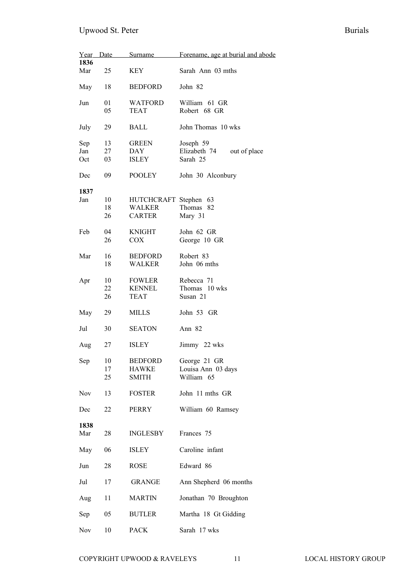| <b>Burials</b> |  |
|----------------|--|
|                |  |

| Year       | Date | Surname               | Forename, age at burial and abode |
|------------|------|-----------------------|-----------------------------------|
| 1836       |      |                       |                                   |
| Mar        | 25   | KEY                   | Sarah Ann 03 mths                 |
| May        | 18   | <b>BEDFORD</b>        | John 82                           |
| Jun        | 01   | <b>WATFORD</b>        | William 61 GR                     |
|            | 05   | <b>TEAT</b>           | Robert 68 GR                      |
|            |      |                       |                                   |
| July       | 29   | <b>BALL</b>           | John Thomas 10 wks                |
| Sep        | 13   | <b>GREEN</b>          | Joseph 59                         |
| Jan        | 27   | DAY                   | Elizabeth 74<br>out of place      |
| Oct        | 03   | ISLEY                 | Sarah 25                          |
| Dec        | 09   | <b>POOLEY</b>         | John 30 Alconbury                 |
| 1837       |      |                       |                                   |
| Jan        | 10   | HUTCHCRAFT Stephen 63 |                                   |
|            | 18   | WALKER                | Thomas<br>82                      |
|            | 26   | CARTER                | Mary 31                           |
| Feb        | 04   | <b>KNIGHT</b>         | John 62 GR                        |
|            | 26   | COX                   | George 10 GR                      |
|            |      |                       |                                   |
| Mar        | 16   | <b>BEDFORD</b>        | Robert 83                         |
|            | 18   | WALKER                | John 06 mths                      |
| Apr        | 10   | <b>FOWLER</b>         | Rebecca 71                        |
|            | 22   | <b>KENNEL</b>         | Thomas 10 wks                     |
|            | 26   | <b>TEAT</b>           | Susan 21                          |
| May        | 29   | MILLS                 | John 53 GR                        |
| Jul        | 30   | <b>SEATON</b>         | Ann 82                            |
| Aug        | 27   | ISLEY                 | Jimmy 22 wks                      |
|            |      |                       |                                   |
| Sep        | 10   | <b>BEDFORD</b>        | George 21 GR                      |
|            | 17   | <b>HAWKE</b>          | Louisa Ann 03 days                |
|            | 25   | SMITH                 | William 65                        |
| <b>Nov</b> | 13   | <b>FOSTER</b>         | John 11 mths GR                   |
| Dec        | 22   | PERRY                 | William 60 Ramsey                 |
| 1838       |      |                       |                                   |
| Mar        | 28   | <b>INGLESBY</b>       | Frances 75                        |
|            |      |                       |                                   |
| May        | 06   | <b>ISLEY</b>          | Caroline infant                   |
| Jun        | 28   | <b>ROSE</b>           | Edward 86                         |
| Jul        | 17   | <b>GRANGE</b>         | Ann Shepherd 06 months            |
| Aug        | 11   | <b>MARTIN</b>         | Jonathan 70 Broughton             |
| Sep        | 05   | <b>BUTLER</b>         | Martha 18 Gt Gidding              |
|            |      |                       |                                   |
| Nov        | 10   | PACK                  | Sarah 17 wks                      |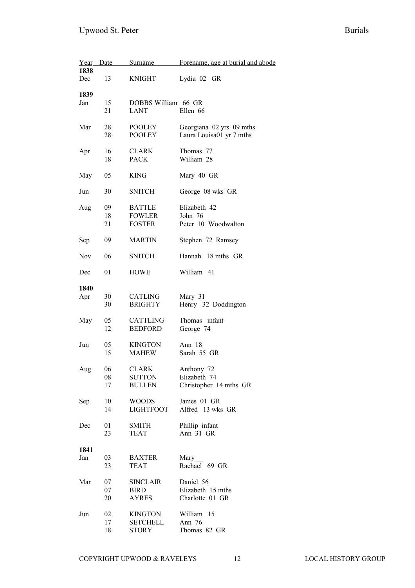| Year Date |    | Surname                        | Forename, age at burial and abode |
|-----------|----|--------------------------------|-----------------------------------|
| 1838      |    |                                |                                   |
| Dec       | 13 | <b>KNIGHT</b>                  | Lydia 02 GR                       |
|           |    |                                |                                   |
| 1839      |    |                                |                                   |
| Jan       | 15 | DOBBS William 66 GR            |                                   |
|           | 21 | <b>LANT</b>                    | Ellen 66                          |
| Mar       | 28 | <b>POOLEY</b>                  |                                   |
|           | 28 |                                | Georgiana 02 yrs 09 mths          |
|           |    | <b>POOLEY</b>                  | Laura Louisa01 yr 7 mths          |
| Apr       | 16 | CLARK                          | Thomas 77                         |
|           | 18 | <b>PACK</b>                    | William 28                        |
|           |    |                                |                                   |
| May       | 05 | <b>KING</b>                    | Mary 40 GR                        |
|           |    |                                |                                   |
| Jun       | 30 | <b>SNITCH</b>                  | George 08 wks GR                  |
|           |    |                                |                                   |
| Aug       | 09 | <b>BATTLE</b>                  | Elizabeth 42                      |
|           | 18 | <b>FOWLER</b>                  | John 76                           |
|           | 21 | <b>FOSTER</b>                  | Peter 10 Woodwalton               |
|           |    |                                |                                   |
| Sep       | 09 | <b>MARTIN</b>                  | Stephen 72 Ramsey                 |
|           |    |                                |                                   |
| Nov       | 06 | <b>SNITCH</b>                  | Hannah 18 mths GR                 |
|           |    |                                |                                   |
| Dec       | 01 | HOWE                           | William 41                        |
|           |    |                                |                                   |
| 1840      |    |                                |                                   |
| Apr       | 30 | <b>CATLING</b>                 | Mary 31                           |
|           | 30 | <b>BRIGHTY</b>                 | Henry 32 Doddington               |
|           |    |                                |                                   |
| May       | 05 | <b>CATTLING</b>                | infant<br>Thomas                  |
|           | 12 | <b>BEDFORD</b>                 | George 74                         |
| Jun       | 05 |                                | Ann 18                            |
|           |    | <b>KINGTON</b><br><b>MAHEW</b> | Sarah 55 GR                       |
|           | 15 |                                |                                   |
| Aug       | 06 | <b>CLARK</b>                   | Anthony 72                        |
|           | 08 | <b>SUTTON</b>                  | Elizabeth 74                      |
|           |    | <b>BULLEN</b>                  |                                   |
|           | 17 |                                | Christopher 14 mths GR            |
| Sep       | 10 | <b>WOODS</b>                   | James 01 GR                       |
|           | 14 | <b>LIGHTFOOT</b>               | Alfred 13 wks GR                  |
|           |    |                                |                                   |
| Dec       | 01 | SMITH                          | Phillip infant                    |
|           | 23 | TEAT                           | Ann 31 GR                         |
|           |    |                                |                                   |
| 1841      |    |                                |                                   |
| Jan       | 03 | <b>BAXTER</b>                  | Mary                              |
|           | 23 | TEAT                           | Rachael 69 GR                     |
|           |    |                                |                                   |
| Mar       | 07 | <b>SINCLAIR</b>                | Daniel 56                         |
|           | 07 | <b>BIRD</b>                    | Elizabeth 15 mths                 |
|           | 20 | <b>AYRES</b>                   | Charlotte 01 GR                   |
|           |    |                                |                                   |
| Jun       | 02 | <b>KINGTON</b>                 | William 15                        |
|           | 17 | <b>SETCHELL</b>                | Ann 76                            |
|           | 18 | STORY                          | Thomas 82 GR                      |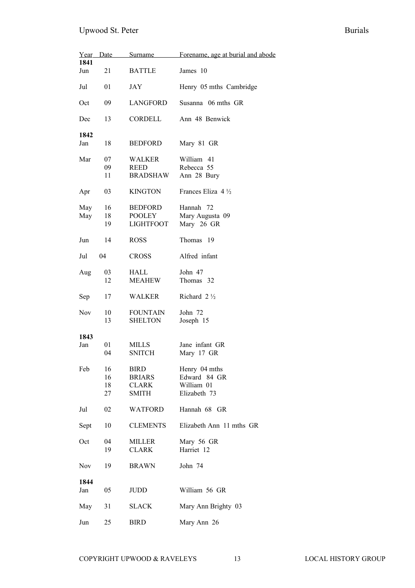| Year        | Date | Surname          | Forename, age at burial and abode |
|-------------|------|------------------|-----------------------------------|
| 1841<br>Jun | 21   | <b>BATTLE</b>    | James 10                          |
|             |      |                  |                                   |
| Jul         | 01   | JAY              | Henry 05 mths Cambridge           |
| Oct         | 09   | LANGFORD         | Susanna 06 mths GR                |
| Dec         | 13   | CORDELL          | Ann 48 Benwick                    |
| 1842        |      |                  |                                   |
| Jan         | 18   | <b>BEDFORD</b>   | Mary 81 GR                        |
| Mar         | 07   | WALKER           | William 41                        |
|             | 09   | <b>REED</b>      | Rebecca 55                        |
|             | 11   | <b>BRADSHAW</b>  | Ann 28 Bury                       |
| Apr         | 03   | KINGTON          | Frances Eliza $4\frac{1}{2}$      |
| May         | 16   | <b>BEDFORD</b>   | Hannah 72                         |
| May         | 18   | <b>POOLEY</b>    | Mary Augusta 09                   |
|             | 19   | <b>LIGHTFOOT</b> | Mary 26 GR                        |
| Jun         | 14   | <b>ROSS</b>      | Thomas 19                         |
| Jul         | 04   | <b>CROSS</b>     | Alfred infant                     |
| Aug         | 03   | <b>HALL</b>      | John 47                           |
|             | 12   | <b>MEAHEW</b>    | Thomas 32                         |
|             |      |                  |                                   |
| Sep         | 17   | WALKER           | Richard $2\frac{1}{2}$            |
| <b>Nov</b>  | 10   | <b>FOUNTAIN</b>  | John 72                           |
|             | 13   | <b>SHELTON</b>   | Joseph 15                         |
|             |      |                  |                                   |
| 1843<br>Jan | 01   | MILLS            | Jane infant GR                    |
|             | 04   | <b>SNITCH</b>    | Mary 17 GR                        |
|             |      |                  |                                   |
| Feb         | 16   | BIRD             | Henry 04 mths                     |
|             | 16   | BRIARS           | Edward 84 GR                      |
|             | 18   | CLARK            | William 01                        |
|             | 27   | SMITH            | Elizabeth 73                      |
| Jul         | 02   | <b>WATFORD</b>   | Hannah 68 GR                      |
| Sept        | 10   | <b>CLEMENTS</b>  | Elizabeth Ann 11 mths GR          |
| Oct         | 04   | MILLER           | Mary 56 GR                        |
|             | 19   | CLARK            | Harriet 12                        |
|             |      |                  |                                   |
| Nov         | 19   | <b>BRAWN</b>     | John 74                           |
| 1844        |      |                  |                                   |
| Jan         | 05   | <b>JUDD</b>      | William 56 GR                     |
|             |      |                  |                                   |
| May         | 31   | SLACK            | Mary Ann Brighty 03               |
| Jun         | 25   | BIRD             | Mary Ann 26                       |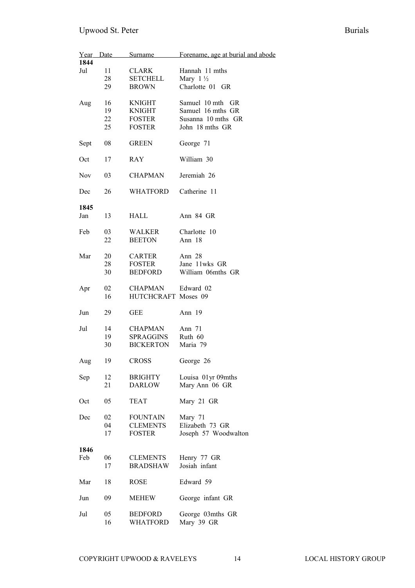| Year Date  |    | <u>Surname</u>      | Forename, age at burial and abode |
|------------|----|---------------------|-----------------------------------|
| 1844       |    |                     |                                   |
| Jul        | 11 | <b>CLARK</b>        | Hannah 11 mths                    |
|            |    |                     |                                   |
|            | 28 | <b>SETCHELL</b>     | Mary $1\frac{1}{2}$               |
|            | 29 | <b>BROWN</b>        | Charlotte 01 GR                   |
|            |    |                     |                                   |
| Aug        | 16 | KNIGHT              | Samuel 10 mth GR                  |
|            | 19 | KNIGHT              | Samuel 16 mths GR                 |
|            | 22 | FOSTER              | Susanna 10 mths GR                |
|            | 25 | <b>FOSTER</b>       | John 18 mths GR                   |
|            |    |                     |                                   |
| Sept       | 08 | <b>GREEN</b>        | George 71                         |
|            |    |                     |                                   |
| Oct        | 17 | <b>RAY</b>          | William 30                        |
| <b>Nov</b> | 03 | <b>CHAPMAN</b>      | Jeremiah 26                       |
|            |    |                     |                                   |
| Dec        | 26 | WHATFORD            | Catherine 11                      |
|            |    |                     |                                   |
| 1845       |    |                     |                                   |
| Jan        | 13 | HALL                | Ann 84 GR                         |
|            |    |                     |                                   |
| Feb        | 03 | WALKER              | Charlotte 10                      |
|            |    |                     |                                   |
|            | 22 | <b>BEETON</b>       | Ann 18                            |
|            |    |                     |                                   |
| Mar        | 20 | CARTER              | Ann $28$                          |
|            | 28 | <b>FOSTER</b>       | Jane 11wks GR                     |
|            | 30 | <b>BEDFORD</b>      | William 06mths GR                 |
|            |    |                     |                                   |
| Apr        | 02 | <b>CHAPMAN</b>      | Edward 02                         |
|            |    |                     |                                   |
|            | 16 | HUTCHCRAFT Moses 09 |                                   |
|            |    |                     |                                   |
| Jun        | 29 | <b>GEE</b>          | Ann 19                            |
|            |    |                     |                                   |
| Jul        | 14 | <b>CHAPMAN</b>      | Ann 71                            |
|            | 19 | SPRAGGINS           | Ruth 60                           |
|            | 30 | <b>BICKERTON</b>    | Maria 79                          |
|            |    |                     |                                   |
| Aug        | 19 | <b>CROSS</b>        | George 26                         |
|            |    |                     |                                   |
| Sep        | 12 | <b>BRIGHTY</b>      | Louisa 01yr 09mths                |
|            |    |                     |                                   |
|            | 21 | <b>DARLOW</b>       | Mary Ann 06 GR                    |
|            |    |                     |                                   |
| Oct        | 05 | <b>TEAT</b>         | Mary 21 GR                        |
|            |    |                     |                                   |
| Dec        | 02 | <b>FOUNTAIN</b>     | Mary 71                           |
|            | 04 | <b>CLEMENTS</b>     | Elizabeth 73 GR                   |
|            | 17 | <b>FOSTER</b>       | Joseph 57 Woodwalton              |
|            |    |                     |                                   |
| 1846       |    |                     |                                   |
|            |    |                     |                                   |
| Feb        | 06 | <b>CLEMENTS</b>     | Henry 77 GR                       |
|            | 17 | <b>BRADSHAW</b>     | Josiah infant                     |
|            |    |                     |                                   |
| Mar        | 18 | <b>ROSE</b>         | Edward 59                         |
|            |    |                     |                                   |
| Jun        | 09 | <b>MEHEW</b>        | George infant GR                  |
|            |    |                     |                                   |
| Jul        | 05 | <b>BEDFORD</b>      | George 03mths GR                  |
|            | 16 | <b>WHATFORD</b>     | Mary 39 GR                        |
|            |    |                     |                                   |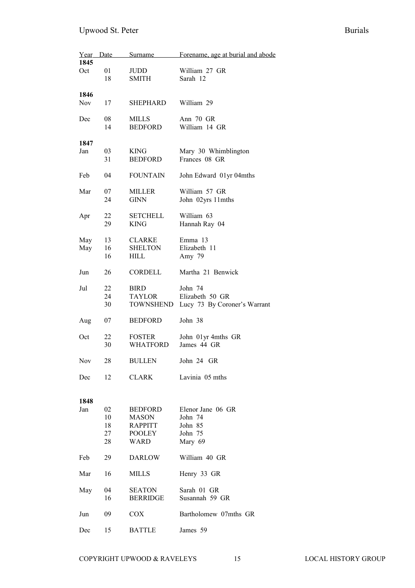| 1845       | Year Date      | Surname                            | Forename, age at burial and abode                          |
|------------|----------------|------------------------------------|------------------------------------------------------------|
| Oct        | 01<br>18       | JUDD<br>SMITH                      | William 27 GR<br>Sarah 12                                  |
| 1846       |                |                                    |                                                            |
| <b>Nov</b> | 17             | SHEPHARD                           | William 29                                                 |
| Dec        | 08<br>14       | MILLS<br><b>BEDFORD</b>            | Ann 70 GR<br>William 14 GR                                 |
| 1847       |                |                                    |                                                            |
| Jan        | 03<br>31       | <b>KING</b><br><b>BEDFORD</b>      | Mary 30 Whimblington<br>Frances 08 GR                      |
| Feb        | 04             | <b>FOUNTAIN</b>                    | John Edward 01yr 04mths                                    |
| Mar        | 07<br>24       | MILLER<br>GINN                     | William 57 GR<br>John 02yrs 11mths                         |
| Apr        | 22<br>29       | <b>SETCHELL</b><br><b>KING</b>     | William 63<br>Hannah Ray 04                                |
| May<br>May | 13<br>16       | CLARKE<br><b>SHELTON</b>           | Emma 13<br>Elizabeth 11                                    |
|            | 16             | HILL                               | Amy 79                                                     |
| Jun        | 26             | CORDELL                            | Martha 21 Benwick                                          |
| Jul        | 22<br>24<br>30 | <b>BIRD</b><br>TAYLOR<br>TOWNSHEND | John 74<br>Elizabeth 50 GR<br>Lucy 73 By Coroner's Warrant |
| Aug        | 07             | <b>BEDFORD</b>                     | John 38                                                    |
| Oct        | 22<br>30       | <b>FOSTER</b><br><b>WHATFORD</b>   | John 01yr 4mths GR<br>James 44 GR                          |
| Nov        | 28             | <b>BULLEN</b>                      | John 24 GR                                                 |
| Dec        | 12             | CLARK                              | Lavinia 05 mths                                            |
|            |                |                                    |                                                            |
| 1848       |                |                                    |                                                            |
| Jan        | 02<br>10       | <b>BEDFORD</b><br><b>MASON</b>     | Elenor Jane 06 GR<br>John 74                               |
|            | 18             | <b>RAPPITT</b>                     | John 85                                                    |
|            | 27             | <b>POOLEY</b>                      | John 75                                                    |
|            | 28             | WARD                               | Mary 69                                                    |
| Feb        | 29             | <b>DARLOW</b>                      | William 40 GR                                              |
| Mar        | 16             | MILLS                              | Henry 33 GR                                                |
| May        | 04<br>16       | <b>SEATON</b><br><b>BERRIDGE</b>   | Sarah 01 GR<br>Susannah 59 GR                              |
| Jun        | 09             | COX                                | Bartholomew 07mths GR                                      |
| Dec        | 15             | <b>BATTLE</b>                      | James 59                                                   |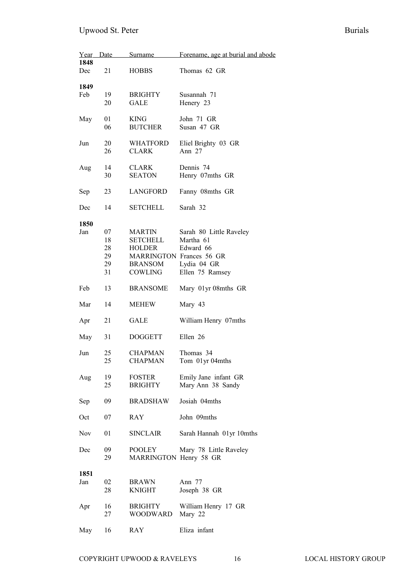| Year Date   |          | Surname                | Forename, age at burial and abode |
|-------------|----------|------------------------|-----------------------------------|
| 1848<br>Dec | 21       |                        | Thomas 62 GR                      |
|             |          | <b>HOBBS</b>           |                                   |
| 1849        |          |                        |                                   |
| Feb         | 19       | <b>BRIGHTY</b>         | Susannah 71                       |
|             | 20       | <b>GALE</b>            | Henery 23                         |
|             |          |                        |                                   |
| May         | 01       | <b>KING</b>            | John 71 GR                        |
|             | 06       | <b>BUTCHER</b>         | Susan 47 GR                       |
| Jun         | 20       | WHATFORD               | Eliel Brighty 03 GR               |
|             | 26       | <b>CLARK</b>           | Ann $27$                          |
|             |          |                        |                                   |
| Aug         | 14       | CLARK                  | Dennis 74                         |
|             | 30       | <b>SEATON</b>          | Henry 07mths GR                   |
| Sep         | 23       | LANGFORD               | Fanny 08mths GR                   |
|             |          |                        |                                   |
| Dec         | 14       | <b>SETCHELL</b>        | Sarah 32                          |
| 1850        |          |                        |                                   |
| Jan         | 07       | MARTIN                 | Sarah 80 Little Raveley           |
|             | 18       | <b>SETCHELL</b>        | Martha 61                         |
|             | 28       |                        | Edward 66                         |
|             |          | HOLDER                 |                                   |
|             | 29       |                        | <b>MARRINGTON Frances 56 GR</b>   |
|             | 29       | BRANSOM                | Lydia 04 GR                       |
|             | 31       | COWLING                | Ellen 75 Ramsey                   |
| Feb         | 13       | <b>BRANSOME</b>        | Mary 01yr 08mths GR               |
| Mar         | 14       | <b>MEHEW</b>           | Mary 43                           |
| Apr         | 21       | <b>GALE</b>            | William Henry 07mths              |
|             |          |                        |                                   |
| May         | 31       | <b>DOGGETT</b>         | Ellen 26                          |
|             |          |                        |                                   |
| Jun         | 25<br>25 | <b>CHAPMAN</b>         | Thomas 34                         |
|             |          | <b>CHAPMAN</b>         | Tom 01yr 04mths                   |
| Aug         | 19       | <b>FOSTER</b>          | Emily Jane infant GR              |
|             | 25       | <b>BRIGHTY</b>         | Mary Ann 38 Sandy                 |
|             |          |                        |                                   |
| Sep         | 09       | <b>BRADSHAW</b>        | Josiah 04mths                     |
| Oct         | 07       | RAY                    | John 09mths                       |
|             |          |                        |                                   |
| <b>Nov</b>  | 01       | SINCLAIR               | Sarah Hannah 01yr 10mths          |
|             |          |                        |                                   |
| Dec         | 09       | <b>POOLEY</b>          | Mary 78 Little Raveley            |
|             | 29       | MARRINGTON Henry 58 GR |                                   |
| 1851        |          |                        |                                   |
| Jan         | 02       | <b>BRAWN</b>           | Ann 77                            |
|             | 28       | <b>KNIGHT</b>          | Joseph 38 GR                      |
|             |          |                        |                                   |
| Apr         | 16       | BRIGHTY                | William Henry 17 GR               |
|             | 27       | WOODWARD               | Mary 22                           |
|             |          |                        |                                   |
| May         | 16       | <b>RAY</b>             | Eliza infant                      |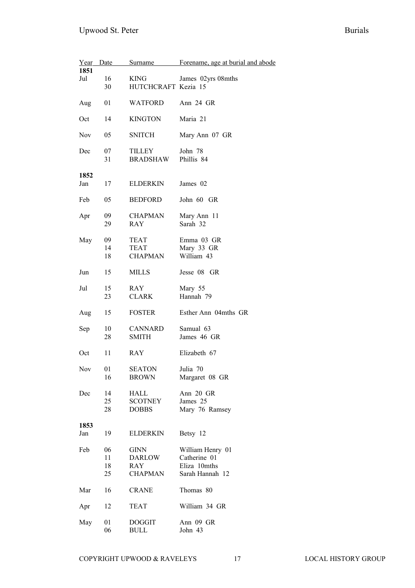| Year Date   |                      | Surname                                 | Forename, age at burial and abode                                   |
|-------------|----------------------|-----------------------------------------|---------------------------------------------------------------------|
| 1851        |                      |                                         |                                                                     |
| Jul         | 16                   | KING                                    | James 02yrs 08mths                                                  |
|             | 30                   | HUTCHCRAFT Kezia 15                     |                                                                     |
| Aug         | 01                   | <b>WATFORD</b>                          | Ann 24 GR                                                           |
| Oct         | 14                   | <b>KINGTON</b>                          | Maria 21                                                            |
| <b>Nov</b>  | 05                   | <b>SNITCH</b>                           | Mary Ann 07 GR                                                      |
| Dec         | 07<br>31             | TILLEY<br>BRADSHAW                      | John 78<br>Phillis 84                                               |
| 1852        |                      |                                         |                                                                     |
| Jan         | 17                   | <b>ELDERKIN</b>                         | James 02                                                            |
| Feb         | 05                   | BEDFORD                                 | John 60 GR                                                          |
| Apr         | 09<br>29             | <b>CHAPMAN</b><br>RAY.                  | Mary Ann 11<br>Sarah 32                                             |
| May         | 09<br>14<br>18       | TEAT<br><b>TEAT</b><br><b>CHAPMAN</b>   | Emma 03 GR<br>Mary 33 GR<br>William 43                              |
| Jun         | 15                   | MILLS                                   | Jesse 08 GR                                                         |
| Jul         | 15<br>23             | RAY<br>CLARK                            | Mary 55<br>Hannah 79                                                |
| Aug         | 15                   | <b>FOSTER</b>                           | Esther Ann 04mths GR                                                |
| Sep         | 10<br>28             | <b>CANNARD</b><br>SMITH                 | Samual 63<br>James 46 GR                                            |
| Oct         | 11                   | RAY                                     | Elizabeth 67                                                        |
| Nov         | 01<br>16             | <b>SEATON</b><br><b>BROWN</b>           | Julia 70<br>Margaret 08 GR                                          |
| Dec         | 14<br>25<br>28       | HALL<br><b>SCOTNEY</b><br><b>DOBBS</b>  | Ann 20 GR<br>James 25<br>Mary 76 Ramsey                             |
| 1853<br>Jan | 19                   | ELDERKIN                                | Betsy 12                                                            |
| Feb         | 06<br>11<br>18<br>25 | GINN<br>DARLOW<br>RAY<br><b>CHAPMAN</b> | William Henry 01<br>Catherine 01<br>Eliza 10mths<br>Sarah Hannah 12 |
| Mar         | 16                   | <b>CRANE</b>                            | Thomas 80                                                           |
| Apr         | 12                   | TEAT                                    | William 34 GR                                                       |
| May         | 01<br>06             | <b>DOGGIT</b><br><b>BULL</b>            | Ann 09 GR<br>John 43                                                |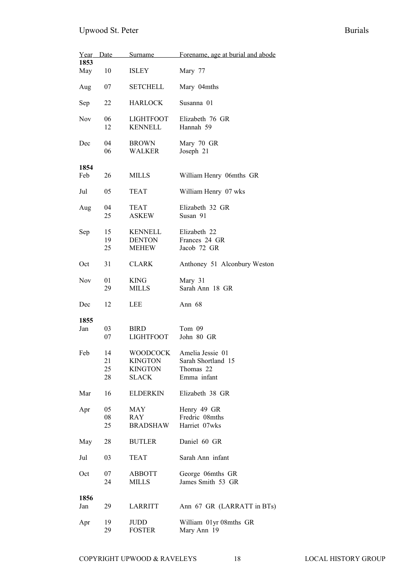| Year Date   |                      | Surname                                                      | Forename, age at burial and abode                                  |
|-------------|----------------------|--------------------------------------------------------------|--------------------------------------------------------------------|
| 1853        |                      |                                                              |                                                                    |
| May         | 10                   | <b>ISLEY</b>                                                 | Mary 77                                                            |
| Aug         | 07                   | <b>SETCHELL</b>                                              | Mary 04mths                                                        |
| Sep         | 22                   | <b>HARLOCK</b>                                               | Susanna 01                                                         |
| <b>Nov</b>  | 06<br>12             | <b>LIGHTFOOT</b><br><b>KENNELL</b>                           | Elizabeth 76 GR<br>Hannah 59                                       |
| Dec         | 04<br>06             | <b>BROWN</b><br>WALKER                                       | Mary 70 GR<br>Joseph 21                                            |
| 1854        |                      |                                                              |                                                                    |
| Feb         | 26                   | <b>MILLS</b>                                                 | William Henry 06mths GR                                            |
| Jul         | 05                   | <b>TEAT</b>                                                  | William Henry 07 wks                                               |
| Aug         | 04<br>25             | <b>TEAT</b><br><b>ASKEW</b>                                  | Elizabeth 32 GR<br>Susan 91                                        |
| Sep         | 15<br>19<br>25       | <b>KENNELL</b><br><b>DENTON</b><br>MEHEW                     | Elizabeth 22<br>Frances 24 GR<br>Jacob 72 GR                       |
| Oct         | 31                   | <b>CLARK</b>                                                 | Anthoney 51 Alconbury Weston                                       |
| <b>Nov</b>  | 01<br>29             | <b>KING</b><br><b>MILLS</b>                                  | Mary 31<br>Sarah Ann 18 GR                                         |
| Dec         | 12                   | LEE                                                          | Ann 68                                                             |
|             |                      |                                                              |                                                                    |
| 1855        |                      |                                                              |                                                                    |
| Jan         | 03<br>07             | <b>BIRD</b><br><b>LIGHTFOOT</b>                              | Tom 09<br>John 80 GR                                               |
| Feb         | 14<br>21<br>25<br>28 | <b>WOODCOCK</b><br><b>KINGTON</b><br><b>KINGTON</b><br>SLACK | Amelia Jessie 01<br>Sarah Shortland 15<br>Thomas 22<br>Emma infant |
| Mar         | 16                   | ELDERKIN                                                     | Elizabeth 38 GR                                                    |
| Apr         | 05<br>08<br>25       | MAY<br>RAY<br><b>BRADSHAW</b>                                | Henry 49 GR<br>Fredric 08mths<br>Harriet 07wks                     |
| May         | 28                   | <b>BUTLER</b>                                                | Daniel 60 GR                                                       |
| Jul         | 03                   | <b>TEAT</b>                                                  | Sarah Ann infant                                                   |
| Oct         | 07<br>24             | ABBOTT<br><b>MILLS</b>                                       | George 06mths GR<br>James Smith 53 GR                              |
|             |                      |                                                              |                                                                    |
| 1856<br>Jan | 29                   | <b>LARRITT</b>                                               | Ann 67 GR (LARRATT in BTs)                                         |
| Apr         | 19<br>29             | JUDD<br><b>FOSTER</b>                                        | William 01yr 08mths GR<br>Mary Ann 19                              |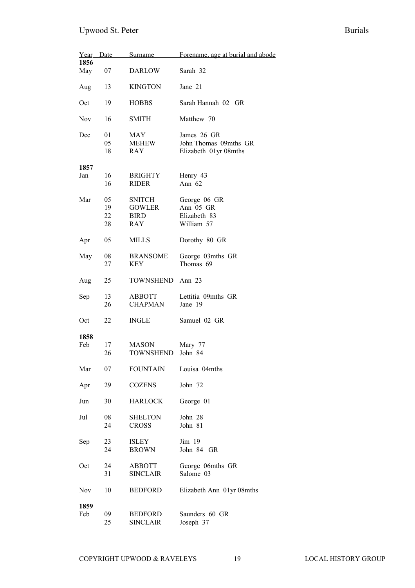| Year       | Date                 | Surname                                        | Forename, age at burial and abode                             |
|------------|----------------------|------------------------------------------------|---------------------------------------------------------------|
| 1856       |                      |                                                |                                                               |
| May        | 07                   | <b>DARLOW</b>                                  | Sarah 32                                                      |
| Aug        | 13                   | <b>KINGTON</b>                                 | Jane 21                                                       |
| Oct        | 19                   | <b>HOBBS</b>                                   | Sarah Hannah 02 GR                                            |
| <b>Nov</b> | 16                   | <b>SMITH</b>                                   | Matthew 70                                                    |
| Dec        | 01<br>05<br>18       | MAY<br>MEHEW<br>RAY                            | James 26 GR<br>John Thomas 09mths GR<br>Elizabeth 01yr 08mths |
| 1857       |                      |                                                |                                                               |
| Jan        | 16<br>16             | <b>BRIGHTY</b><br><b>RIDER</b>                 | Henry 43<br>Ann $62$                                          |
| Mar        | 05<br>19<br>22<br>28 | SNITCH<br><b>GOWLER</b><br><b>BIRD</b><br>RAY. | George 06 GR<br>Ann 05 GR<br>Elizabeth 83<br>William 57       |
| Apr        | 05                   | MILLS                                          | Dorothy 80 GR                                                 |
| May        | 08<br>27             | <b>BRANSOME</b><br>KEY                         | George 03mths GR<br>Thomas 69                                 |
| Aug        | 25                   | TOWNSHEND                                      | Ann 23                                                        |
| Sep        | 13<br>26             | <b>ABBOTT</b><br><b>CHAPMAN</b>                | Lettitia 09mths GR<br>Jane 19                                 |
| Oct        | 22                   | <b>INGLE</b>                                   | Samuel 02 GR                                                  |
| 1858       |                      |                                                |                                                               |
| Feb        | 17<br>26             | <b>MASON</b><br>TOWNSHEND                      | Mary 77<br>John 84                                            |
| Mar        | 07                   | <b>FOUNTAIN</b>                                | Louisa 04mths                                                 |
| Apr        | 29                   | <b>COZENS</b>                                  | John 72                                                       |
| Jun        | 30                   | <b>HARLOCK</b>                                 | George 01                                                     |
| Jul        | 08<br>24             | <b>SHELTON</b><br><b>CROSS</b>                 | John 28<br>John 81                                            |
| Sep        | 23<br>24             | <b>ISLEY</b><br><b>BROWN</b>                   | Jim 19<br>John 84 GR                                          |
| Oct        | 24<br>31             | <b>ABBOTT</b><br><b>SINCLAIR</b>               | George 06mths GR<br>Salome 03                                 |
| <b>Nov</b> | 10                   | <b>BEDFORD</b>                                 | Elizabeth Ann 01yr 08mths                                     |
| 1859       |                      |                                                |                                                               |
| Feb        | 09<br>25             | <b>BEDFORD</b><br><b>SINCLAIR</b>              | Saunders 60 GR<br>Joseph 37                                   |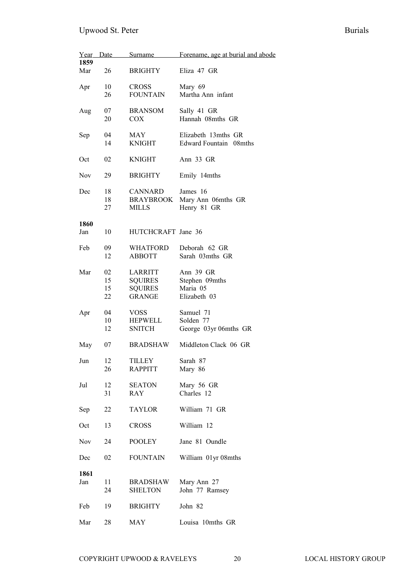| Year<br>1859 | Date                 | Surname                                                      | Forename, age at burial and abode                       |
|--------------|----------------------|--------------------------------------------------------------|---------------------------------------------------------|
| Mar          | 26                   | <b>BRIGHTY</b>                                               | Eliza 47 GR                                             |
| Apr          | 10<br>26             | <b>CROSS</b><br><b>FOUNTAIN</b>                              | Mary 69<br>Martha Ann infant                            |
| Aug          | 07<br>20             | <b>BRANSOM</b><br>COX                                        | Sally 41 GR<br>Hannah 08mths GR                         |
| Sep          | 04<br>14             | MAY<br>KNIGHT                                                | Elizabeth 13mths GR<br>Edward Fountain 08mths           |
| Oct          | 02                   | KNIGHT                                                       | Ann 33 GR                                               |
| <b>Nov</b>   | 29                   | BRIGHTY                                                      | Emily 14mths                                            |
| Dec          | 18<br>18<br>27       | <b>CANNARD</b><br><b>BRAYBROOK</b><br>MILLS                  | James 16<br>Mary Ann 06mths GR<br>Henry 81 GR           |
| 1860         |                      |                                                              |                                                         |
| Jan          | 10                   | HUTCHCRAFT Jane 36                                           |                                                         |
| Feb          | 09<br>12             | WHATFORD<br>ABBOTT                                           | Deborah 62 GR<br>Sarah 03mths GR                        |
| Mar          | 02<br>15<br>15<br>22 | LARRITT<br><b>SQUIRES</b><br><b>SQUIRES</b><br><b>GRANGE</b> | Ann 39 GR<br>Stephen 09mths<br>Maria 05<br>Elizabeth 03 |
| Apr          | 04<br>10<br>12       | <b>VOSS</b><br><b>HEPWELL</b><br><b>SNITCH</b>               | Samuel 71<br>Solden 77<br>George 03yr 06mths GR         |
| May          | 07                   | BRADSHAW                                                     | Middleton Clack 06 GR                                   |
| Jun          | 12<br>26             | TILLEY<br><b>RAPPITT</b>                                     | Sarah 87<br>Mary 86                                     |
| Jul          | 12<br>31             | <b>SEATON</b><br>RAY                                         | Mary 56 GR<br>Charles 12                                |
| Sep          | 22                   | TAYLOR                                                       | William 71 GR                                           |
| Oct          | 13                   | <b>CROSS</b>                                                 | William 12                                              |
| <b>Nov</b>   | 24                   | <b>POOLEY</b>                                                | Jane 81 Oundle                                          |
| Dec          | 02                   | <b>FOUNTAIN</b>                                              | William 01yr 08mths                                     |
| 1861<br>Jan  | 11<br>24             | BRADSHAW<br>SHELTON                                          | Mary Ann 27<br>John 77 Ramsey                           |
| Feb          | 19                   | <b>BRIGHTY</b>                                               | John 82                                                 |
| Mar          | 28                   | MAY                                                          | Louisa 10mths GR                                        |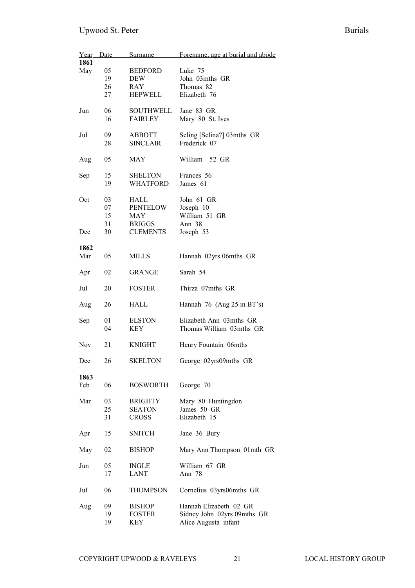| Year Date<br>1861 |          | Surname                        | Forename, age at burial and abode                     |
|-------------------|----------|--------------------------------|-------------------------------------------------------|
| May               | 05       | <b>BEDFORD</b>                 | Luke 75                                               |
|                   | 19       | DEW                            | John 03mths GR                                        |
|                   | 26       | RAY                            | Thomas 82                                             |
|                   | 27       | <b>HEPWELL</b>                 | Elizabeth 76                                          |
| Jun               | 06       | SOUTHWELL                      | Jane 83 GR                                            |
|                   | 16       | FAIRLEY                        | Mary 80 St. Ives                                      |
| Jul               | 09       | ABBOTT                         | Seling [Selina?] 03mths GR                            |
|                   | 28       | <b>SINCLAIR</b>                | Frederick 07                                          |
| Aug               | 05       | MAY                            | William 52 GR                                         |
| Sep               | 15       | SHELTON                        | Frances 56                                            |
|                   | 19       | WHATFORD                       | James 61                                              |
| Oct               | 03       | HALL                           | John 61 GR                                            |
|                   | 07       | <b>PENTELOW</b>                | Joseph 10                                             |
|                   | 15       | MAY                            | William 51 GR                                         |
|                   | 31       | <b>BRIGGS</b>                  | Ann 38                                                |
| Dec               | 30       | <b>CLEMENTS</b>                | Joseph 53                                             |
| 1862              |          |                                |                                                       |
| Mar               | 05       | MILLS                          | Hannah 02yrs 06mths GR                                |
| Apr               | 02       | <b>GRANGE</b>                  | Sarah 54                                              |
| Jul               | 20       | <b>FOSTER</b>                  | Thirza 07mths GR                                      |
| Aug               | 26       | HALL                           | Hannah 76 (Aug 25 in BT's)                            |
| Sep               | 01       | <b>ELSTON</b>                  | Elizabeth Ann 03mths GR                               |
|                   | 04       | KEY                            | Thomas William 03mths GR                              |
|                   |          |                                |                                                       |
| <b>Nov</b>        | 21       | <b>KNIGHT</b>                  | Henry Fountain 06mths                                 |
| Dec               | 26       | <b>SKELTON</b>                 | George 02yrs09mths GR                                 |
| 1863              |          |                                |                                                       |
| Feb               | 06       | <b>BOSWORTH</b>                | George 70                                             |
| Mar               | 03       | <b>BRIGHTY</b>                 | Mary 80 Huntingdon                                    |
|                   | 25       | <b>SEATON</b>                  | James 50 GR                                           |
|                   | 31       | <b>CROSS</b>                   | Elizabeth 15                                          |
|                   |          |                                |                                                       |
| Apr               | 15       | SNITCH                         | Jane 36 Bury                                          |
| May               | 02       | <b>BISHOP</b>                  | Mary Ann Thompson 01mth GR                            |
| Jun               | 05       | <b>INGLE</b>                   | William 67 GR                                         |
|                   | 17       | LANT                           | Ann 78                                                |
| Jul               | 06       | <b>THOMPSON</b>                | Cornelius 03yrs06mths GR                              |
|                   |          |                                |                                                       |
| Aug               | 09<br>19 | <b>BISHOP</b><br><b>FOSTER</b> | Hannah Elizabeth 02 GR<br>Sidney John 02yrs 09mths GR |
|                   | 19       | <b>KEY</b>                     | Alice Augusta infant                                  |
|                   |          |                                |                                                       |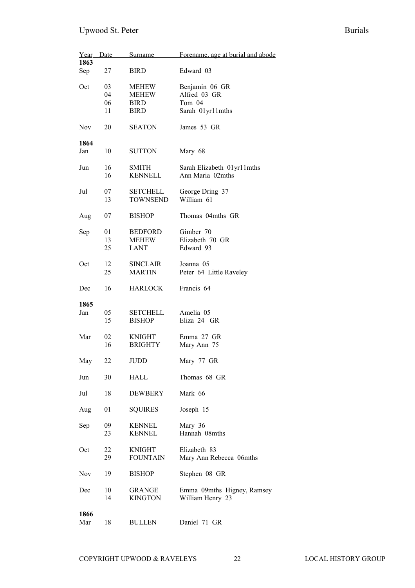| <b>Burials</b> |  |
|----------------|--|
|                |  |

| Year       | Date | <u>Surname</u>  | Forename, age at burial and abode |
|------------|------|-----------------|-----------------------------------|
| 1863       |      |                 |                                   |
| Sep        | 27   | <b>BIRD</b>     | Edward 03                         |
| Oct        | 03   | MEHEW           | Benjamin 06 GR                    |
|            | 04   | MEHEW           | Alfred 03 GR                      |
|            | 06   | <b>BIRD</b>     | Tom 04                            |
|            | 11   | BIRD            | Sarah 01yr11mths                  |
|            |      |                 |                                   |
| <b>Nov</b> | 20   | SEATON          | James 53 GR                       |
| 1864       |      |                 |                                   |
| Jan        | 10   | <b>SUTTON</b>   | Mary 68                           |
|            |      |                 |                                   |
| Jun        | 16   | <b>SMITH</b>    | Sarah Elizabeth 01yr11mths        |
|            | 16   | <b>KENNELL</b>  | Ann Maria 02mths                  |
|            |      |                 |                                   |
| Jul        | 07   | <b>SETCHELL</b> | George Dring 37                   |
|            | 13   | <b>TOWNSEND</b> | William 61                        |
|            |      |                 |                                   |
| Aug        | 07   | <b>BISHOP</b>   | Thomas 04mths GR                  |
|            |      |                 |                                   |
| Sep        | 01   | <b>BEDFORD</b>  | Gimber 70                         |
|            | 13   | MEHEW           | Elizabeth 70 GR                   |
|            | 25   | <b>LANT</b>     | Edward 93                         |
|            |      |                 |                                   |
| Oct        | 12   | <b>SINCLAIR</b> | Joanna 05                         |
|            | 25   | <b>MARTIN</b>   | Peter 64 Little Raveley           |
|            |      |                 |                                   |
| Dec        | 16   | <b>HARLOCK</b>  | Francis 64                        |
|            |      |                 |                                   |
| 1865       |      |                 |                                   |
| Jan        | 05   | <b>SETCHELL</b> | Amelia 05                         |
|            | 15   | <b>BISHOP</b>   | Eliza 24 GR                       |
|            |      |                 |                                   |
| Mar        | 02   | <b>KNIGHT</b>   | Emma 27 GR                        |
|            | 16   | <b>BRIGHTY</b>  | Mary Ann 75                       |
|            |      |                 |                                   |
| May        | 22   | JUDD            | Mary 77 GR                        |
|            |      |                 |                                   |
| Jun        | 30   | HALL            | Thomas 68 GR                      |
|            |      |                 |                                   |
| Jul        | 18   | <b>DEWBERY</b>  | Mark 66                           |
|            |      |                 |                                   |
| Aug        | 01   | <b>SQUIRES</b>  | Joseph 15                         |
|            |      |                 |                                   |
| Sep        | 09   | <b>KENNEL</b>   | Mary 36                           |
|            | 23   | <b>KENNEL</b>   | Hannah 08mths                     |
|            |      |                 |                                   |
| Oct        | 22   | <b>KNIGHT</b>   | Elizabeth 83                      |
|            | 29   | <b>FOUNTAIN</b> | Mary Ann Rebecca 06mths           |
|            |      |                 |                                   |
| <b>Nov</b> | 19   | <b>BISHOP</b>   | Stephen 08 GR                     |
|            |      |                 |                                   |
| Dec        | 10   | GRANGE          | Emma 09mths Higney, Ramsey        |
|            | 14   | <b>KINGTON</b>  | William Henry 23                  |
|            |      |                 |                                   |
| 1866       |      |                 |                                   |
| Mar        | 18   | BULLEN          | Daniel 71 GR                      |
|            |      |                 |                                   |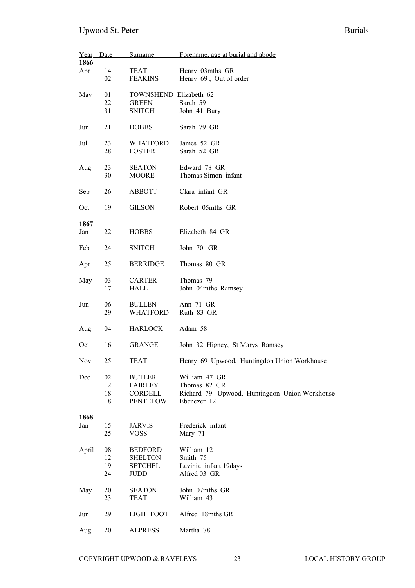| 1866  | <u>Year Date</u> |                        | Surname Forename, age at burial and abode     |
|-------|------------------|------------------------|-----------------------------------------------|
| Apr   | 14               | TEAT                   | Henry 03mths GR                               |
|       | 02               | <b>FEAKINS</b>         | Henry 69, Out of order                        |
| May   | 01               | TOWNSHEND Elizabeth 62 |                                               |
|       | 22               | <b>GREEN</b>           | Sarah 59                                      |
|       | 31               | SNITCH                 | John 41 Bury                                  |
| Jun   | 21               | <b>DOBBS</b>           | Sarah 79 GR                                   |
| Jul   | 23               | <b>WHATFORD</b>        | James 52 GR                                   |
|       | 28               | <b>FOSTER</b>          | Sarah 52 GR                                   |
|       |                  |                        |                                               |
|       |                  |                        |                                               |
| Aug   | 23               | <b>SEATON</b>          | Edward 78 GR                                  |
|       | 30               | MOORE                  | Thomas Simon infant                           |
| Sep   | 26               | <b>ABBOTT</b>          | Clara infant GR                               |
| Oct   | 19               | <b>GILSON</b>          | Robert 05mths GR                              |
|       |                  |                        |                                               |
| 1867  |                  |                        |                                               |
|       |                  |                        |                                               |
| Jan   | 22               | <b>HOBBS</b>           | Elizabeth 84 GR                               |
|       |                  |                        |                                               |
| Feb   | 24               | <b>SNITCH</b>          | John 70 GR                                    |
|       |                  |                        |                                               |
| Apr   | 25               | <b>BERRIDGE</b>        | Thomas 80 GR                                  |
|       |                  |                        |                                               |
| May   | 03               | <b>CARTER</b>          | Thomas 79                                     |
|       | 17               | HALL                   | John 04mths Ramsey                            |
|       |                  |                        |                                               |
| Jun   | 06               | <b>BULLEN</b>          | Ann 71 GR                                     |
|       | 29               | WHATFORD               | Ruth 83 GR                                    |
|       |                  |                        |                                               |
| Aug   | 04               | <b>HARLOCK</b>         | Adam 58                                       |
|       |                  |                        |                                               |
| Oct   | 16               | <b>GRANGE</b>          | John 32 Higney, St Marys Ramsey               |
|       |                  |                        |                                               |
| Nov   | 25               | <b>TEAT</b>            | Henry 69 Upwood, Huntingdon Union Workhouse   |
|       |                  |                        |                                               |
| Dec   | 02               | <b>BUTLER</b>          | William 47 GR                                 |
|       | 12               | FAIRLEY                | Thomas 82 GR                                  |
|       | 18               | CORDELL                | Richard 79 Upwood, Huntingdon Union Workhouse |
|       | 18               | PENTELOW               | Ebenezer 12                                   |
|       |                  |                        |                                               |
| 1868  |                  |                        |                                               |
| Jan   | 15               | JARVIS                 | Frederick infant                              |
|       | 25               | <b>VOSS</b>            | Mary 71                                       |
|       |                  |                        |                                               |
| April | 08               | <b>BEDFORD</b>         | William 12                                    |
|       | 12               |                        | Smith 75                                      |
|       |                  | <b>SHELTON</b>         |                                               |
|       | 19               | <b>SETCHEL</b>         | Lavinia infant 19days                         |
|       | 24               | <b>JUDD</b>            | Alfred 03 GR                                  |
|       |                  |                        |                                               |
| May   | 20               | <b>SEATON</b>          | John 07mths GR                                |
|       | 23               | <b>TEAT</b>            | William 43                                    |
|       |                  |                        |                                               |
| Jun   | 29               | <b>LIGHTFOOT</b>       | Alfred 18mths GR                              |
|       |                  |                        |                                               |
| Aug   | 20               | <b>ALPRESS</b>         | Martha 78                                     |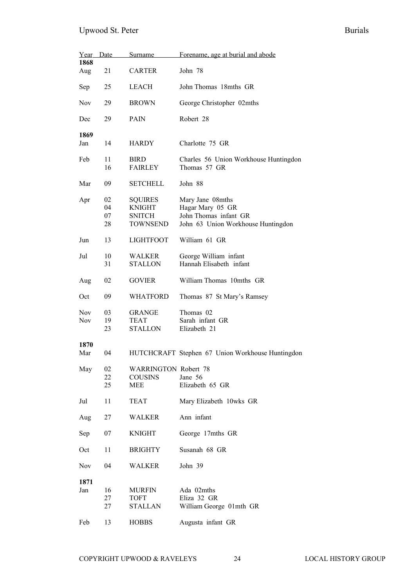| Year       | Date | <b>Surname</b>              | Forename, age at burial and abode                |
|------------|------|-----------------------------|--------------------------------------------------|
| 1868       |      |                             |                                                  |
| Aug        | 21   | <b>CARTER</b>               | John 78                                          |
| Sep        | 25   | LEACH                       | John Thomas 18mths GR                            |
| <b>Nov</b> | 29   | <b>BROWN</b>                | George Christopher 02mths                        |
| Dec        | 29   | <b>PAIN</b>                 | Robert 28                                        |
| 1869       |      |                             |                                                  |
| Jan        | 14   | <b>HARDY</b>                | Charlotte 75 GR                                  |
| Feb        | 11   | <b>BIRD</b>                 | Charles 56 Union Workhouse Huntingdon            |
|            | 16   | <b>FAIRLEY</b>              | Thomas 57 GR                                     |
| Mar        | 09   | <b>SETCHELL</b>             | John 88                                          |
| Apr        | 02   | <b>SQUIRES</b>              | Mary Jane 08mths                                 |
|            | 04   | <b>KNIGHT</b>               | Hagar Mary 05 GR                                 |
|            | 07   | <b>SNITCH</b>               | John Thomas infant GR                            |
|            | 28   | <b>TOWNSEND</b>             | John 63 Union Workhouse Huntingdon               |
| Jun        | 13   | <b>LIGHTFOOT</b>            | William 61 GR                                    |
|            |      |                             |                                                  |
| Jul        | 10   | WALKER                      | George William infant                            |
|            | 31   | <b>STALLON</b>              | Hannah Elisabeth infant                          |
| Aug        | 02   | <b>GOVIER</b>               | William Thomas 10mths GR                         |
| Oct        | 09   | <b>WHATFORD</b>             | Thomas 87 St Mary's Ramsey                       |
| <b>Nov</b> | 03   | <b>GRANGE</b>               | Thomas 02                                        |
| <b>Nov</b> | 19   | <b>TEAT</b>                 | Sarah infant GR                                  |
|            | 23   | <b>STALLON</b>              | Elizabeth 21                                     |
|            |      |                             |                                                  |
| 1870       |      |                             |                                                  |
| Mar        | 04   |                             | HUTCHCRAFT Stephen 67 Union Workhouse Huntingdon |
| May        | 02   | <b>WARRINGTON Robert 78</b> |                                                  |
|            | 22.  | <b>COUSINS</b>              | Jane 56                                          |
|            | 25   | MEE                         | Elizabeth 65 GR                                  |
|            |      |                             |                                                  |
| Jul        | 11   | <b>TEAT</b>                 | Mary Elizabeth 10wks GR                          |
| Aug        | 27   | <b>WALKER</b>               | Ann infant                                       |
| Sep        | 07   | <b>KNIGHT</b>               | George 17mths GR                                 |
| Oct        | 11   | <b>BRIGHTY</b>              | Susanah 68 GR                                    |
| <b>Nov</b> | 04   | WALKER                      | John 39                                          |
| 1871       |      |                             |                                                  |
| Jan        | 16   | <b>MURFIN</b>               | Ada 02mths                                       |
|            | 27   | <b>TOFT</b>                 | Eliza 32 GR                                      |
|            | 27   | <b>STALLAN</b>              | William George 01mth GR                          |
|            |      |                             |                                                  |
| Feb        | 13   | <b>HOBBS</b>                | Augusta infant GR                                |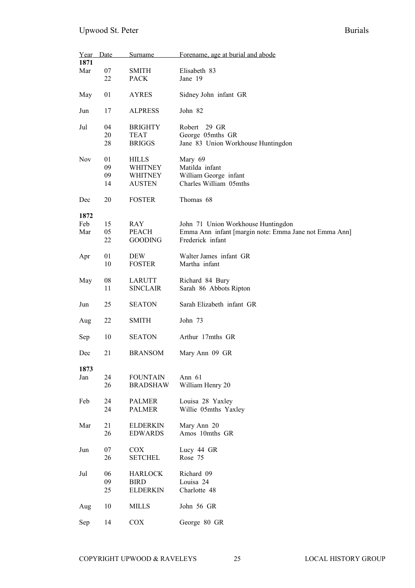| Year Date<br>1871 |    | Surname                        | Forename, age at burial and abode                     |
|-------------------|----|--------------------------------|-------------------------------------------------------|
| Mar               | 07 | SMITH                          | Elisabeth 83                                          |
|                   | 22 | <b>PACK</b>                    | Jane 19                                               |
|                   |    |                                |                                                       |
| May               | 01 | <b>AYRES</b>                   | Sidney John infant GR                                 |
| Jun               | 17 | <b>ALPRESS</b>                 | John 82                                               |
| Jul               | 04 | <b>BRIGHTY</b>                 | Robert<br>29 GR                                       |
|                   | 20 | <b>TEAT</b>                    | George 05mths GR                                      |
|                   | 28 | <b>BRIGGS</b>                  | Jane 83 Union Workhouse Huntingdon                    |
| <b>Nov</b>        | 01 | <b>HILLS</b>                   | Mary 69                                               |
|                   | 09 | WHITNEY                        | Matilda infant                                        |
|                   | 09 | WHITNEY                        | William George infant                                 |
|                   | 14 | <b>AUSTEN</b>                  | Charles William 05mths                                |
| Dec               | 20 | <b>FOSTER</b>                  | Thomas 68                                             |
| 1872              |    |                                |                                                       |
| Feb               | 15 | <b>RAY</b>                     | John 71 Union Workhouse Huntingdon                    |
| Mar               | 05 | <b>PEACH</b>                   | Emma Ann infant [margin note: Emma Jane not Emma Ann] |
|                   | 22 | <b>GOODING</b>                 | Frederick infant                                      |
|                   |    |                                |                                                       |
| Apr               | 01 | DEW                            | Walter James infant GR                                |
|                   | 10 | <b>FOSTER</b>                  | Martha infant                                         |
|                   |    |                                |                                                       |
| May               | 08 | LARUTT                         | Richard 84 Bury                                       |
|                   | 11 | <b>SINCLAIR</b>                | Sarah 86 Abbots Ripton                                |
| Jun               | 25 | <b>SEATON</b>                  | Sarah Elizabeth infant GR                             |
| Aug               | 22 | SMITH                          | John 73                                               |
|                   |    |                                |                                                       |
| Sep               | 10 | <b>SEATON</b>                  | Arthur 17mths GR                                      |
| Dec               | 21 | <b>BRANSOM</b>                 | Mary Ann 09 GR                                        |
|                   |    |                                |                                                       |
| 1873              |    |                                |                                                       |
| Jan               | 24 | <b>FOUNTAIN</b>                | Ann 61                                                |
|                   | 26 | <b>BRADSHAW</b>                | William Henry 20                                      |
|                   | 24 |                                |                                                       |
| Feb               | 24 | <b>PALMER</b><br><b>PALMER</b> | Louisa 28 Yaxley                                      |
|                   |    |                                | Willie 05mths Yaxley                                  |
| Mar               | 21 | <b>ELDERKIN</b>                | Mary Ann 20                                           |
|                   | 26 | <b>EDWARDS</b>                 | Amos 10mths GR                                        |
|                   |    |                                |                                                       |
| Jun               | 07 | COX                            | Lucy 44 GR                                            |
|                   | 26 | <b>SETCHEL</b>                 | Rose 75                                               |
|                   |    |                                |                                                       |
| Jul               | 06 | <b>HARLOCK</b>                 | Richard 09                                            |
|                   | 09 | BIRD                           | Louisa 24                                             |
|                   | 25 | ELDERKIN                       | Charlotte 48                                          |
|                   |    |                                |                                                       |
| Aug               | 10 | MILLS                          | John 56 GR                                            |
| Sep               | 14 | COX                            | George 80 GR                                          |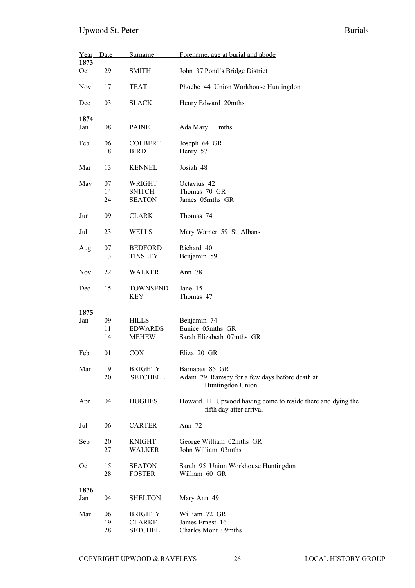| Adam 79 Ramsey for a few days before death at              |
|------------------------------------------------------------|
|                                                            |
|                                                            |
| Howard 11 Upwood having come to reside there and dying the |
|                                                            |
|                                                            |
|                                                            |
|                                                            |
|                                                            |
|                                                            |
|                                                            |
|                                                            |
|                                                            |
|                                                            |
|                                                            |
|                                                            |
|                                                            |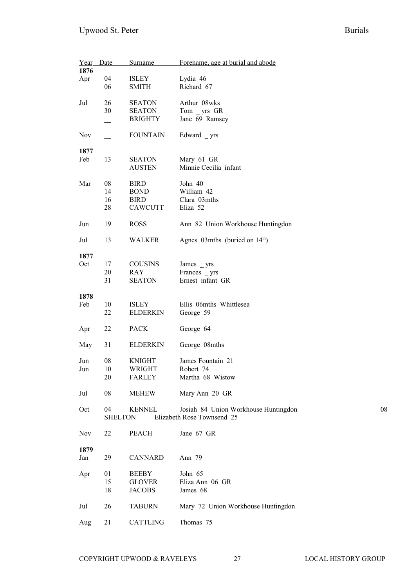| Year<br>1876  | Date           | Surname         | Forename, age at burial and abode          |    |
|---------------|----------------|-----------------|--------------------------------------------|----|
| Apr           | 04             | ISLEY           | Lydia 46                                   |    |
|               | 06             | <b>SMITH</b>    | Richard 67                                 |    |
|               |                |                 |                                            |    |
| Jul           | 26             | <b>SEATON</b>   | Arthur 08wks                               |    |
|               | 30             | <b>SEATON</b>   | Tom $_{\rm yrs}$ GR                        |    |
|               |                | <b>BRIGHTY</b>  | Jane 69 Ramsey                             |    |
|               |                |                 |                                            |    |
| Nov           |                | <b>FOUNTAIN</b> | Edward $_{\rm{yrs}}$                       |    |
|               |                |                 |                                            |    |
| 1877<br>Feb   | 13             | <b>SEATON</b>   |                                            |    |
|               |                | <b>AUSTEN</b>   | Mary 61 GR<br>Minnie Cecilia infant        |    |
|               |                |                 |                                            |    |
| Mar           | 08             | <b>BIRD</b>     | John 40                                    |    |
|               | 14             | <b>BOND</b>     | William 42                                 |    |
|               | 16             | <b>BIRD</b>     | Clara 03mths                               |    |
|               | 28             | <b>CAWCUTT</b>  | Eliza 52                                   |    |
|               |                |                 |                                            |    |
| Jun           | 19             | <b>ROSS</b>     | Ann 82 Union Workhouse Huntingdon          |    |
| Jul           | 13             | WALKER          | Agnes 03mths (buried on 14 <sup>th</sup> ) |    |
|               |                |                 |                                            |    |
| 1877          |                |                 |                                            |    |
| Oct           | 17             | COUSINS         | James $_{\rm yrs}$                         |    |
|               | 20             | RAY             | Frances $_{\text{yrs}}$                    |    |
|               | 31             | <b>SEATON</b>   | Ernest infant GR                           |    |
|               |                |                 |                                            |    |
| 1878          |                |                 |                                            |    |
| Feb           | 10             | <b>ISLEY</b>    | Ellis 06mths Whittlesea                    |    |
|               | 22             | <b>ELDERKIN</b> | George 59                                  |    |
| Apr           | 22             | <b>PACK</b>     | George 64                                  |    |
|               |                |                 |                                            |    |
| May           | 31             | <b>ELDERKIN</b> | George 08mths                              |    |
|               |                |                 |                                            |    |
| Jun           | 08             | <b>KNIGHT</b>   | James Fountain 21                          |    |
| Jun           | 10             | WRIGHT          | Robert 74                                  |    |
|               | 20             | <b>FARLEY</b>   | Martha 68 Wistow                           |    |
|               |                |                 |                                            |    |
| Jul           | 08             | <b>MEHEW</b>    | Mary Ann 20 GR                             |    |
| Oct           | 04             | <b>KENNEL</b>   | Josiah 84 Union Workhouse Huntingdon       | 08 |
|               | <b>SHELTON</b> |                 | Elizabeth Rose Townsend 25                 |    |
|               |                |                 |                                            |    |
| <b>Nov</b>    | 22             | <b>PEACH</b>    | Jane 67 GR                                 |    |
|               |                |                 |                                            |    |
| 1879          |                |                 |                                            |    |
| Jan           | 29             | <b>CANNARD</b>  | Ann 79                                     |    |
|               |                |                 |                                            |    |
| Apr           | 01             | <b>BEEBY</b>    | John 65                                    |    |
|               | 15             | <b>GLOVER</b>   | Eliza Ann 06 GR                            |    |
|               | 18             | <b>JACOBS</b>   | James 68                                   |    |
| $_{\rm{Jul}}$ | 26             | <b>TABURN</b>   | Mary 72 Union Workhouse Huntingdon         |    |
|               |                |                 |                                            |    |
| Aug           | 21             | <b>CATTLING</b> | Thomas 75                                  |    |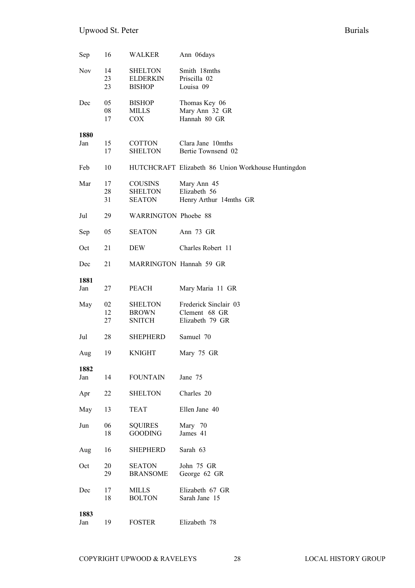| Sep         | 16             | WALKER                                             | Ann 06days                                                |
|-------------|----------------|----------------------------------------------------|-----------------------------------------------------------|
| <b>Nov</b>  | 14<br>23<br>23 | <b>SHELTON</b><br><b>ELDERKIN</b><br><b>BISHOP</b> | Smith 18mths<br>Priscilla 02<br>Louisa 09                 |
| Dec         | 05<br>08<br>17 | <b>BISHOP</b><br>MILLS<br><b>COX</b>               | Thomas Key 06<br>Mary Ann 32 GR<br>Hannah 80 GR           |
| 1880        |                |                                                    |                                                           |
| Jan         | 15<br>17       | <b>COTTON</b><br><b>SHELTON</b>                    | Clara Jane 10mths<br>Bertie Townsend 02                   |
| Feb         | 10             |                                                    | HUTCHCRAFT Elizabeth 86 Union Workhouse Huntingdon        |
| Mar         | 17<br>28<br>31 | <b>COUSINS</b><br><b>SHELTON</b><br><b>SEATON</b>  | Mary Ann 45<br>Elizabeth 56<br>Henry Arthur 14mths GR     |
| Jul         | 29             | WARRINGTON Phoebe 88                               |                                                           |
| Sep         | 05             | <b>SEATON</b>                                      | Ann 73 GR                                                 |
| Oct         | 21             | DEW                                                | Charles Robert 11                                         |
| Dec         | 21             | MARRINGTON Hannah 59 GR                            |                                                           |
| 1881<br>Jan | 27             | <b>PEACH</b>                                       | Mary Maria 11 GR                                          |
| May         | 02<br>12<br>27 | <b>SHELTON</b><br><b>BROWN</b><br><b>SNITCH</b>    | Frederick Sinclair 03<br>Clement 68 GR<br>Elizabeth 79 GR |
| Jul         | 28             | <b>SHEPHERD</b>                                    | Samuel 70                                                 |
| Aug         | 19             | <b>KNIGHT</b>                                      | Mary 75 GR                                                |
| 1882<br>Jan | 14             | <b>FOUNTAIN</b>                                    | Jane 75                                                   |
| Apr         | 22             | <b>SHELTON</b>                                     | Charles 20                                                |
| May         | 13             | <b>TEAT</b>                                        | Ellen Jane 40                                             |
| Jun         | 06<br>18       | <b>SQUIRES</b><br><b>GOODING</b>                   | Mary 70<br>James 41                                       |
| Aug         | 16             | SHEPHERD                                           | Sarah 63                                                  |
| Oct         | 20<br>29       | <b>SEATON</b><br><b>BRANSOME</b>                   | John 75 GR<br>George 62 GR                                |
| Dec         | 17<br>18       | <b>MILLS</b><br><b>BOLTON</b>                      | Elizabeth 67 GR<br>Sarah Jane 15                          |
| 1883<br>Jan | 19             | <b>FOSTER</b>                                      | Elizabeth 78                                              |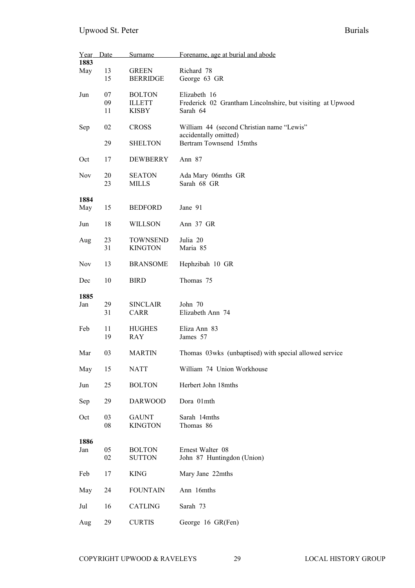| Year Date<br>1883 |              | Surname                        | Forename, age at burial and abode                                  |
|-------------------|--------------|--------------------------------|--------------------------------------------------------------------|
| May               | 13           | <b>GREEN</b>                   | Richard 78                                                         |
|                   | 15           | <b>BERRIDGE</b>                | George 63 GR                                                       |
| Jun               | 07           | <b>BOLTON</b>                  | Elizabeth 16                                                       |
|                   | 09           | <b>ILLETT</b>                  | Frederick 02 Grantham Lincolnshire, but visiting at Upwood         |
|                   | 11           | <b>KISBY</b>                   | Sarah 64                                                           |
| Sep               | 02           | <b>CROSS</b>                   | William 44 (second Christian name "Lewis"<br>accidentally omitted) |
|                   | 29           | <b>SHELTON</b>                 | Bertram Townsend 15mths                                            |
| Oct               | 17           | DEWBERRY                       | Ann 87                                                             |
| Nov               | 20<br>23     | <b>SEATON</b><br><b>MILLS</b>  | Ada Mary 06mths GR<br>Sarah 68 GR                                  |
| 1884              |              |                                |                                                                    |
| May               | 15           | <b>BEDFORD</b>                 | Jane 91                                                            |
| Jun               | 18           | <b>WILLSON</b>                 | Ann 37 GR                                                          |
| Aug               | 23           | <b>TOWNSEND</b>                | Julia 20                                                           |
|                   | 31           | <b>KINGTON</b>                 | Maria 85                                                           |
| Nov               | 13           | <b>BRANSOME</b>                | Hephzibah 10 GR                                                    |
| Dec               | 10           | <b>BIRD</b>                    | Thomas 75                                                          |
| 1885              |              |                                |                                                                    |
| Jan               | 29<br>31     | <b>SINCLAIR</b><br>CARR        | John 70<br>Elizabeth Ann 74                                        |
| Feb               | 11<br>19     | <b>HUGHES</b><br><b>RAY</b>    | Eliza Ann 83<br>James 57                                           |
| Mar               | 03           | <b>MARTIN</b>                  | Thomas 03wks (unbaptised) with special allowed service             |
| May               | 15           | <b>NATT</b>                    | William 74 Union Workhouse                                         |
| Jun               | 25           | <b>BOLTON</b>                  | Herbert John 18mths                                                |
| Sep               | 29           | <b>DARWOOD</b>                 | Dora 01mth                                                         |
| Oct               | 03<br>08     | <b>GAUNT</b><br><b>KINGTON</b> | Sarah 14mths<br>Thomas 86                                          |
| 1886              |              |                                |                                                                    |
| Jan               | 05<br>$02\,$ | <b>BOLTON</b><br><b>SUTTON</b> | Ernest Walter 08<br>John 87 Huntingdon (Union)                     |
| Feb               | 17           | <b>KING</b>                    | Mary Jane 22mths                                                   |
| May               | 24           | <b>FOUNTAIN</b>                | Ann 16mths                                                         |
| Jul               | 16           | CATLING                        | Sarah 73                                                           |
| Aug               | 29           | <b>CURTIS</b>                  | George 16 GR(Fen)                                                  |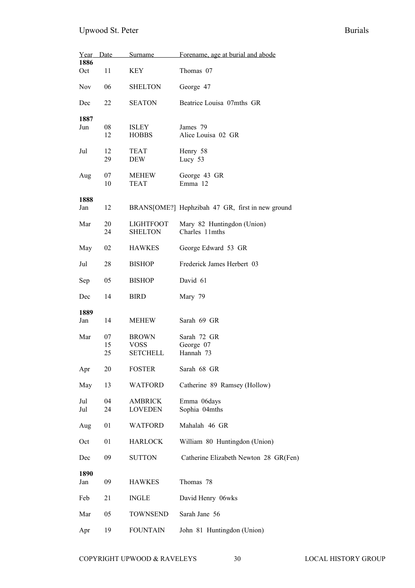| Year Date   |          | Surname              | Forename, age at burial and abode                |
|-------------|----------|----------------------|--------------------------------------------------|
| 1886        |          |                      |                                                  |
| Oct         | 11       | <b>KEY</b>           | Thomas 07                                        |
| <b>Nov</b>  | 06       | <b>SHELTON</b>       | George 47                                        |
| Dec         | 22       | <b>SEATON</b>        | Beatrice Louisa 07mths GR                        |
| 1887        |          |                      |                                                  |
| Jun         | 08       | ISLEY                | James 79                                         |
|             | 12       | <b>HOBBS</b>         | Alice Louisa 02 GR                               |
| Jul         | 12       | TEAT                 | Henry 58                                         |
|             | 29       | DEW                  | Lucy 53                                          |
|             |          |                      |                                                  |
| Aug         | 07<br>10 | <b>MEHEW</b><br>TEAT | George 43 GR<br>Emma 12                          |
|             |          |                      |                                                  |
| 1888        |          |                      |                                                  |
| Jan         | 12       |                      | BRANS[OME?] Hephzibah 47 GR, first in new ground |
| Mar         | 20       | <b>LIGHTFOOT</b>     | Mary 82 Huntingdon (Union)                       |
|             | 24       | <b>SHELTON</b>       | Charles 11mths                                   |
|             |          |                      |                                                  |
| May         | 02       | <b>HAWKES</b>        | George Edward 53 GR                              |
| Jul         | 28       | <b>BISHOP</b>        | Frederick James Herbert 03                       |
| Sep         | 05       | <b>BISHOP</b>        | David 61                                         |
| Dec         | 14       | <b>BIRD</b>          | Mary 79                                          |
| 1889        |          |                      |                                                  |
| Jan         | 14       | <b>MEHEW</b>         | Sarah 69 GR                                      |
| Mar         | 07       | <b>BROWN</b>         | Sarah 72 GR                                      |
|             | 15       | <b>VOSS</b>          | George 07                                        |
|             | 25       | <b>SETCHELL</b>      | Hannah 73                                        |
| Apr         | 20       | <b>FOSTER</b>        | Sarah 68 GR                                      |
| May         | 13       | <b>WATFORD</b>       | Catherine 89 Ramsey (Hollow)                     |
| Jul         | 04       | <b>AMBRICK</b>       | Emma 06days                                      |
| Jul         | 24       | <b>LOVEDEN</b>       | Sophia 04mths                                    |
| Aug         | 01       | <b>WATFORD</b>       | Mahalah 46 GR                                    |
| Oct         | 01       | <b>HARLOCK</b>       | William 80 Huntingdon (Union)                    |
| Dec         | 09       | <b>SUTTON</b>        | Catherine Elizabeth Newton 28 GR(Fen)            |
|             |          |                      |                                                  |
| 1890<br>Jan | 09       | <b>HAWKES</b>        | Thomas 78                                        |
|             |          |                      |                                                  |
| Feb         | 21       | <b>INGLE</b>         | David Henry 06wks                                |
| Mar         | 05       | <b>TOWNSEND</b>      | Sarah Jane 56                                    |
| Apr         | 19       | <b>FOUNTAIN</b>      | John 81 Huntingdon (Union)                       |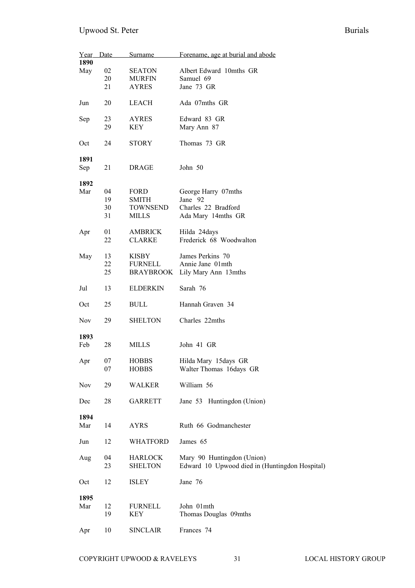| Year<br>1890 | Date     | Surname                          | Forename, age at burial and abode                                            |
|--------------|----------|----------------------------------|------------------------------------------------------------------------------|
| May          | 02<br>20 | SEATON<br><b>MURFIN</b>          | Albert Edward 10mths GR<br>Samuel 69                                         |
|              | 21       | <b>AYRES</b>                     | Jane 73 GR                                                                   |
| Jun          | 20       | <b>LEACH</b>                     | Ada 07mths GR                                                                |
| Sep          | 23       | <b>AYRES</b>                     | Edward 83 GR                                                                 |
|              | 29       | KEY                              | Mary Ann 87                                                                  |
| Oct          | 24       | <b>STORY</b>                     | Thomas 73 GR                                                                 |
| 1891<br>Sep  | 21       | DRAGE                            | John 50                                                                      |
| 1892         |          |                                  |                                                                              |
| Mar          | 04       | FORD                             | George Harry 07mths                                                          |
|              | 19<br>30 | <b>SMITH</b><br><b>TOWNSEND</b>  | Jane 92<br>Charles 22 Bradford                                               |
|              | 31       | <b>MILLS</b>                     | Ada Mary 14mths GR                                                           |
| Apr          | 01<br>22 | AMBRICK<br><b>CLARKE</b>         | Hilda 24days<br>Frederick 68 Woodwalton                                      |
|              |          |                                  |                                                                              |
| May          | 13<br>22 | <b>KISBY</b><br><b>FURNELL</b>   | James Perkins 70<br>Annie Jane 01 mth                                        |
|              | 25       | BRAYBROOK                        | Lily Mary Ann 13mths                                                         |
| Jul          | 13       | <b>ELDERKIN</b>                  | Sarah 76                                                                     |
| Oct          | 25       | <b>BULL</b>                      | Hannah Graven 34                                                             |
| <b>Nov</b>   | 29       | <b>SHELTON</b>                   | Charles 22mths                                                               |
| 1893         |          |                                  |                                                                              |
| Feb          | 28       | <b>MILLS</b>                     | John 41 GR                                                                   |
| Apr          | 07       | <b>HOBBS</b>                     | Hilda Mary 15days GR                                                         |
|              | 07       | <b>HOBBS</b>                     | Walter Thomas 16days GR                                                      |
| Nov          | 29       | <b>WALKER</b>                    | William 56                                                                   |
| Dec          | 28       | <b>GARRETT</b>                   | Jane 53 Huntingdon (Union)                                                   |
| 1894<br>Mar  | 14       | <b>AYRS</b>                      | Ruth 66 Godmanchester                                                        |
| Jun          | 12       | WHATFORD                         | James 65                                                                     |
| Aug          | 04<br>23 | <b>HARLOCK</b><br><b>SHELTON</b> | Mary 90 Huntingdon (Union)<br>Edward 10 Upwood died in (Huntingdon Hospital) |
| Oct          | 12       | <b>ISLEY</b>                     | Jane 76                                                                      |
| 1895<br>Mar  | 12<br>19 | <b>FURNELL</b><br>KEY            | John 01mth<br>Thomas Douglas 09mths                                          |

Apr 10 SINCLAIR Frances 74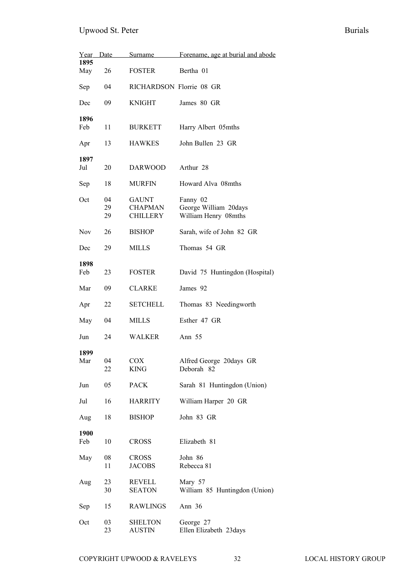| Year       | Date | Surname                  | Forename, age at burial and abode |
|------------|------|--------------------------|-----------------------------------|
| 1895       |      |                          |                                   |
| May        | 26   | <b>FOSTER</b>            | Bertha 01                         |
| Sep        | 04   | RICHARDSON Florrie 08 GR |                                   |
| Dec        | 09   | <b>KNIGHT</b>            | James 80 GR                       |
| 1896       |      |                          |                                   |
| Feb        | 11   | <b>BURKETT</b>           | Harry Albert 05mths               |
| Apr        | 13   | <b>HAWKES</b>            | John Bullen 23 GR                 |
|            |      |                          |                                   |
| 1897       |      |                          |                                   |
| Jul        | 20   | <b>DARWOOD</b>           | Arthur 28                         |
| Sep        | 18   | <b>MURFIN</b>            | Howard Alva 08mths                |
| Oct        | 04   | <b>GAUNT</b>             | Fanny 02                          |
|            | 29   | CHAPMAN                  | George William 20days             |
|            | 29   | <b>CHILLERY</b>          | William Henry 08mths              |
|            |      |                          |                                   |
| <b>Nov</b> | 26   | <b>BISHOP</b>            | Sarah, wife of John 82 GR         |
| Dec        | 29   | <b>MILLS</b>             | Thomas 54 GR                      |
| 1898       |      |                          |                                   |
| Feb        | 23   | <b>FOSTER</b>            | David 75 Huntingdon (Hospital)    |
| Mar        | 09   | <b>CLARKE</b>            | James 92                          |
| Apr        | 22   | <b>SETCHELL</b>          | Thomas 83 Needingworth            |
| May        | 04   | <b>MILLS</b>             | Esther 47 GR                      |
| Jun        | 24   | WALKER                   | Ann 55                            |
|            |      |                          |                                   |
| 1899       |      |                          |                                   |
| Mar        | 04   | COX                      | Alfred George 20days GR           |
|            | 22   | <b>KING</b>              | Deborah 82                        |
| Jun        | 05   | <b>PACK</b>              | Sarah 81 Huntingdon (Union)       |
| Jul        | 16   | <b>HARRITY</b>           | William Harper 20 GR              |
| Aug        | 18   | <b>BISHOP</b>            | John 83 GR                        |
| 1900       |      |                          |                                   |
| Feb        | 10   | <b>CROSS</b>             | Elizabeth 81                      |
|            |      |                          |                                   |
| May        | 08   | <b>CROSS</b>             | John 86                           |
|            | 11   | <b>JACOBS</b>            | Rebecca 81                        |
|            |      |                          |                                   |
| Aug        | 23   | <b>REVELL</b>            | Mary 57                           |
|            | 30   | <b>SEATON</b>            | William 85 Huntingdon (Union)     |
| Sep        | 15   | <b>RAWLINGS</b>          | Ann 36                            |
|            |      |                          |                                   |
| Oct        | 03   | <b>SHELTON</b>           | George 27                         |
|            | 23   | AUSTIN                   | Ellen Elizabeth 23 days           |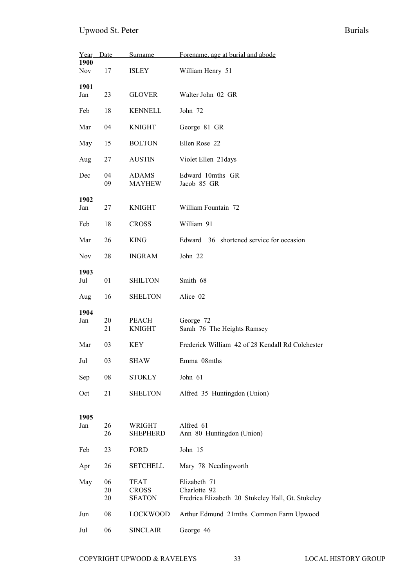| Year               | Date           | Surname                               | Forename, age at burial and abode                                                 |
|--------------------|----------------|---------------------------------------|-----------------------------------------------------------------------------------|
| 1900<br><b>Nov</b> | 17             | ISLEY                                 | William Henry 51                                                                  |
| 1901<br>Jan        | 23             | <b>GLOVER</b>                         | Walter John 02 GR                                                                 |
| Feb                | 18             | <b>KENNELL</b>                        | John 72                                                                           |
| Mar                | 04             | <b>KNIGHT</b>                         | George 81 GR                                                                      |
| May                | 15             | <b>BOLTON</b>                         | Ellen Rose 22                                                                     |
| Aug                | 27             | <b>AUSTIN</b>                         | Violet Ellen 21 days                                                              |
| Dec                | 04<br>09       | ADAMS<br><b>MAYHEW</b>                | Edward 10mths GR<br>Jacob 85 GR                                                   |
| 1902<br>Jan        | 27             | <b>KNIGHT</b>                         | William Fountain 72                                                               |
| Feb                | 18             | <b>CROSS</b>                          | William 91                                                                        |
| Mar                | 26             | <b>KING</b>                           | Edward 36 shortened service for occasion                                          |
| Nov                | 28             | <b>INGRAM</b>                         | John 22                                                                           |
| 1903<br>Jul        | 01             | <b>SHILTON</b>                        | Smith 68                                                                          |
| Aug                | 16             | <b>SHELTON</b>                        | Alice 02                                                                          |
| 1904<br>Jan        | 20<br>21       | <b>PEACH</b><br><b>KNIGHT</b>         | George 72<br>Sarah 76 The Heights Ramsey                                          |
| Mar                | 03             | KEY                                   | Frederick William 42 of 28 Kendall Rd Colchester                                  |
| Jul                | 03             | SHAW                                  | Emma 08mths                                                                       |
| Sep                | 08             | STOKLY                                | John 61                                                                           |
| Oct                | 21             | <b>SHELTON</b>                        | Alfred 35 Huntingdon (Union)                                                      |
| 1905<br>Jan        | 26<br>26       | WRIGHT<br><b>SHEPHERD</b>             | Alfred 61<br>Ann 80 Huntingdon (Union)                                            |
| Feb                | 23             | <b>FORD</b>                           | John 15                                                                           |
| Apr                | 26             | <b>SETCHELL</b>                       | Mary 78 Needingworth                                                              |
| May                | 06<br>20<br>20 | TEAT<br><b>CROSS</b><br><b>SEATON</b> | Elizabeth 71<br>Charlotte 92<br>Fredrica Elizabeth 20 Stukeley Hall, Gt. Stukeley |
| Jun                | 08             | <b>LOCKWOOD</b>                       | Arthur Edmund 21mths Common Farm Upwood                                           |
| Jul                | 06             | <b>SINCLAIR</b>                       | George 46                                                                         |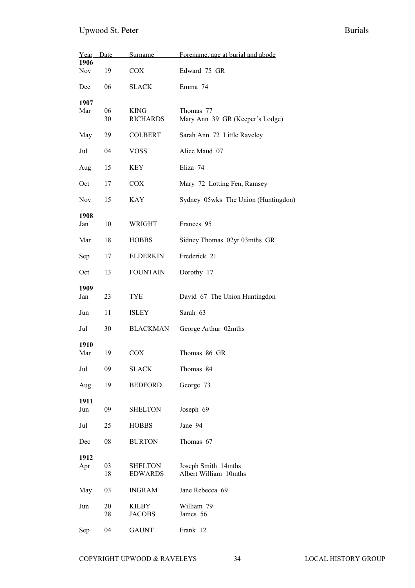|                    | Year Date | Surname                          | Forename, age at burial and abode            |
|--------------------|-----------|----------------------------------|----------------------------------------------|
| 1906<br><b>Nov</b> | 19        | <b>COX</b>                       | Edward 75 GR                                 |
| Dec                | 06        | <b>SLACK</b>                     | Emma 74                                      |
|                    |           |                                  |                                              |
| 1907<br>Mar        | 06        | <b>KING</b>                      | Thomas 77                                    |
|                    | 30        | <b>RICHARDS</b>                  | Mary Ann 39 GR (Keeper's Lodge)              |
| May                | 29        | <b>COLBERT</b>                   | Sarah Ann 72 Little Raveley                  |
| Jul                | 04        | <b>VOSS</b>                      | Alice Maud 07                                |
| Aug                | 15        | KEY                              | Eliza 74                                     |
| Oct                | 17        | <b>COX</b>                       | Mary 72 Lotting Fen, Ramsey                  |
| <b>Nov</b>         | 15        | <b>KAY</b>                       | Sydney 05wks The Union (Huntingdon)          |
| 1908<br>Jan        | 10        | WRIGHT                           | Frances 95                                   |
| Mar                | 18        | <b>HOBBS</b>                     | Sidney Thomas 02yr 03mths GR                 |
| Sep                | 17        | <b>ELDERKIN</b>                  | Frederick 21                                 |
| Oct                | 13        | <b>FOUNTAIN</b>                  | Dorothy 17                                   |
| 1909               |           |                                  |                                              |
| Jan                | 23        | TYE                              | David 67 The Union Huntingdon                |
| Jun                | 11        | <b>ISLEY</b>                     | Sarah 63                                     |
| Jul                | 30        | <b>BLACKMAN</b>                  | George Arthur 02mths                         |
| 1910<br>Mar        | 19        | COX                              | Thomas 86 GR                                 |
| Jul                | 09        | <b>SLACK</b>                     | Thomas 84                                    |
| Aug                | 19        | <b>BEDFORD</b>                   | George 73                                    |
| 1911               |           |                                  |                                              |
| Jun                | 09        | <b>SHELTON</b>                   | Joseph 69                                    |
| Jul                | 25        | <b>HOBBS</b>                     | Jane 94                                      |
| Dec                | 08        | <b>BURTON</b>                    | Thomas 67                                    |
| 1912<br>Apr        | 03<br>18  | <b>SHELTON</b><br><b>EDWARDS</b> | Joseph Smith 14mths<br>Albert William 10mths |
| May                | 03        | <b>INGRAM</b>                    | Jane Rebecca 69                              |
| Jun                | 20<br>28  | KILBY<br><b>JACOBS</b>           | William 79<br>James 56                       |
| Sep                | 04        | <b>GAUNT</b>                     | Frank 12                                     |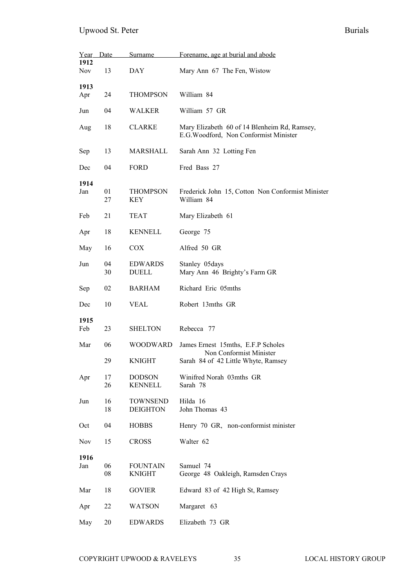| Year               | Date     | Surname                            | Forename, age at burial and abode                                                      |
|--------------------|----------|------------------------------------|----------------------------------------------------------------------------------------|
| 1912<br><b>Nov</b> | 13       | <b>DAY</b>                         | Mary Ann 67 The Fen, Wistow                                                            |
| 1913<br>Apr        | 24       | <b>THOMPSON</b>                    | William 84                                                                             |
| Jun                | 04       | WALKER                             | William 57 GR                                                                          |
| Aug                | 18       | <b>CLARKE</b>                      | Mary Elizabeth 60 of 14 Blenheim Rd, Ramsey,<br>E.G. Woodford, Non Conformist Minister |
| Sep                | 13       | MARSHALL                           | Sarah Ann 32 Lotting Fen                                                               |
| Dec                | 04       | <b>FORD</b>                        | Fred Bass 27                                                                           |
| 1914<br>Jan        | 01<br>27 | <b>THOMPSON</b><br>KEY             | Frederick John 15, Cotton Non Conformist Minister<br>William 84                        |
| Feb                | 21       | <b>TEAT</b>                        | Mary Elizabeth 61                                                                      |
| Apr                | 18       | <b>KENNELL</b>                     | George 75                                                                              |
| May                | 16       | COX                                | Alfred 50 GR                                                                           |
| Jun                | 04<br>30 | <b>EDWARDS</b><br><b>DUELL</b>     | Stanley 05days<br>Mary Ann 46 Brighty's Farm GR                                        |
| Sep                | 02       | <b>BARHAM</b>                      | Richard Eric 05mths                                                                    |
| Dec                | 10       | <b>VEAL</b>                        | Robert 13mths GR                                                                       |
| 1915<br>Feb        | 23       | <b>SHELTON</b>                     | Rebecca 77                                                                             |
| Mar                | 06       | WOODWARD                           | James Ernest 15mths, E.F.P Scholes<br>Non Conformist Minister                          |
|                    | 29       | <b>KNIGHT</b>                      | Sarah 84 of 42 Little Whyte, Ramsey                                                    |
| Apr                | 17<br>26 | <b>DODSON</b><br><b>KENNELL</b>    | Winifred Norah 03mths GR<br>Sarah 78                                                   |
| Jun                | 16<br>18 | <b>TOWNSEND</b><br><b>DEIGHTON</b> | Hilda 16<br>John Thomas 43                                                             |
| Oct                | 04       | <b>HOBBS</b>                       | Henry 70 GR, non-conformist minister                                                   |
| <b>Nov</b>         | 15       | <b>CROSS</b>                       | Walter 62                                                                              |
| 1916<br>Jan        | 06<br>08 | <b>FOUNTAIN</b><br><b>KNIGHT</b>   | Samuel 74<br>George 48 Oakleigh, Ramsden Crays                                         |
| Mar                | 18       | <b>GOVIER</b>                      | Edward 83 of 42 High St, Ramsey                                                        |
| Apr                | 22       | <b>WATSON</b>                      | Margaret 63                                                                            |
| May                | 20       | <b>EDWARDS</b>                     | Elizabeth 73 GR                                                                        |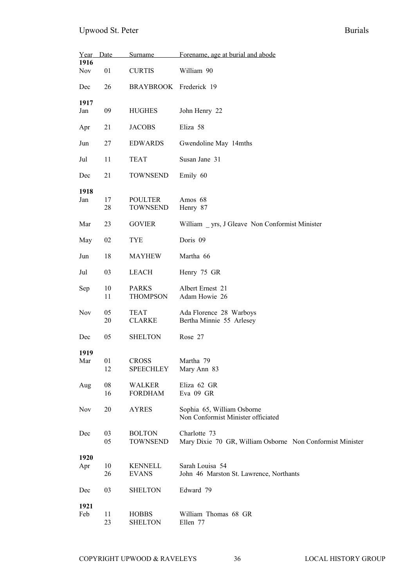| Year               | Date     | Surname                           | Forename, age at burial and abode                                         |
|--------------------|----------|-----------------------------------|---------------------------------------------------------------------------|
| 1916<br><b>Nov</b> | 01       | <b>CURTIS</b>                     | William 90                                                                |
| Dec                | 26       | BRAYBROOK Frederick 19            |                                                                           |
| 1917<br>Jan        | 09       | <b>HUGHES</b>                     | John Henry 22                                                             |
| Apr                | 21       | <b>JACOBS</b>                     | Eliza 58                                                                  |
| Jun                | 27       | <b>EDWARDS</b>                    | Gwendoline May 14mths                                                     |
| Jul                | 11       | <b>TEAT</b>                       | Susan Jane 31                                                             |
| Dec                | 21       | <b>TOWNSEND</b>                   | Emily 60                                                                  |
| 1918<br>Jan        | 17<br>28 | <b>POULTER</b><br><b>TOWNSEND</b> | Amos 68<br>Henry 87                                                       |
| Mar                | 23       | <b>GOVIER</b>                     | William yrs, J Gleave Non Conformist Minister                             |
| May                | 02       | <b>TYE</b>                        | Doris 09                                                                  |
| Jun                | 18       | <b>MAYHEW</b>                     | Martha 66                                                                 |
| Jul                | 03       | <b>LEACH</b>                      | Henry 75 GR                                                               |
| Sep                | 10<br>11 | <b>PARKS</b><br><b>THOMPSON</b>   | Albert Ernest 21<br>Adam Howie 26                                         |
| <b>Nov</b>         | 05<br>20 | <b>TEAT</b><br><b>CLARKE</b>      | Ada Florence 28 Warboys<br>Bertha Minnie 55 Arlesey                       |
| Dec                | 05       | <b>SHELTON</b>                    | Rose 27                                                                   |
| 1919<br>Mar        | 01<br>12 | <b>CROSS</b><br><b>SPEECHLEY</b>  | Martha 79<br>Mary Ann 83                                                  |
| Aug                | 08<br>16 | <b>WALKER</b><br><b>FORDHAM</b>   | Eliza 62 GR<br>Eva 09 GR                                                  |
| Nov                | 20       | <b>AYRES</b>                      | Sophia 65, William Osborne<br>Non Conformist Minister officiated          |
| Dec                | 03<br>05 | <b>BOLTON</b><br><b>TOWNSEND</b>  | Charlotte 73<br>Mary Dixie 70 GR, William Osborne Non Conformist Minister |
| 1920<br>Apr        | 10<br>26 | <b>KENNELL</b><br><b>EVANS</b>    | Sarah Louisa 54<br>John 46 Marston St. Lawrence, Northants                |
| Dec                | 03       | <b>SHELTON</b>                    | Edward 79                                                                 |
| 1921<br>Feb        | 11<br>23 | <b>HOBBS</b><br><b>SHELTON</b>    | William Thomas 68 GR<br>Ellen 77                                          |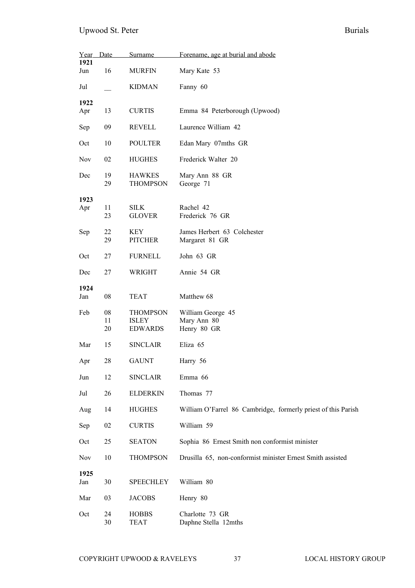| Year        | Date           | Surname                          | Forename, age at burial and abode                             |
|-------------|----------------|----------------------------------|---------------------------------------------------------------|
| 1921<br>Jun | 16             | <b>MURFIN</b>                    | Mary Kate 53                                                  |
| Jul         |                | <b>KIDMAN</b>                    | Fanny 60                                                      |
| 1922        |                |                                  |                                                               |
| Apr         | 13             | <b>CURTIS</b>                    | Emma 84 Peterborough (Upwood)                                 |
| Sep         | 09             | <b>REVELL</b>                    | Laurence William 42                                           |
| Oct         | 10             | <b>POULTER</b>                   | Edan Mary 07mths GR                                           |
| <b>Nov</b>  | 02             | <b>HUGHES</b>                    | Frederick Walter 20                                           |
| Dec         | 19<br>29       | <b>HAWKES</b><br><b>THOMPSON</b> | Mary Ann 88 GR<br>George 71                                   |
| 1923        |                |                                  |                                                               |
| Apr         | 11<br>23       | SILK<br><b>GLOVER</b>            | Rachel 42<br>Frederick 76 GR                                  |
| Sep         | 22             | <b>KEY</b>                       | James Herbert 63 Colchester                                   |
|             | 29             | <b>PITCHER</b>                   | Margaret 81 GR                                                |
| Oct         | 27             | <b>FURNELL</b>                   | John 63 GR                                                    |
| Dec         | 27             | WRIGHT                           | Annie 54 GR                                                   |
| 1924<br>Jan | 08             | <b>TEAT</b>                      | Matthew 68                                                    |
| Feb         | 08<br>11<br>20 | <b>THOMPSON</b><br><b>ISLEY</b>  | William George 45<br>Mary Ann 80                              |
|             |                | <b>EDWARDS</b>                   | Henry 80 GR                                                   |
| Mar         | 15             | <b>SINCLAIR</b>                  | Eliza 65                                                      |
| Apr         | 28             | <b>GAUNT</b>                     | Harry 56                                                      |
| Jun         | 12             | <b>SINCLAIR</b>                  | Emma 66                                                       |
| Jul         | 26             | <b>ELDERKIN</b>                  | Thomas 77                                                     |
| Aug         | 14             | <b>HUGHES</b>                    | William O'Farrel 86 Cambridge, formerly priest of this Parish |
| Sep         | 02             | <b>CURTIS</b>                    | William 59                                                    |
| Oct         | 25             | <b>SEATON</b>                    | Sophia 86 Ernest Smith non conformist minister                |
| Nov         | $10\,$         | <b>THOMPSON</b>                  | Drusilla 65, non-conformist minister Ernest Smith assisted    |
| 1925<br>Jan | 30             | <b>SPEECHLEY</b>                 | William 80                                                    |
| Mar         | 03             | <b>JACOBS</b>                    | Henry 80                                                      |
|             |                |                                  |                                                               |
| Oct         | 24<br>30       | <b>HOBBS</b><br><b>TEAT</b>      | Charlotte 73 GR<br>Daphne Stella 12mths                       |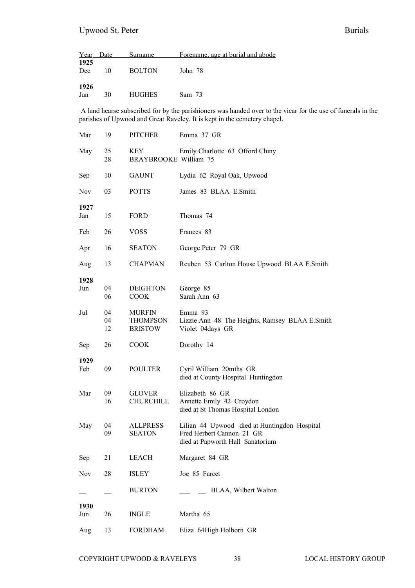| Year | Date | Surname       | Forename, age at burial and abode |
|------|------|---------------|-----------------------------------|
| 1925 |      |               |                                   |
| Dec  | 10   | <b>BOLTON</b> | John 78                           |
|      |      |               |                                   |
| 1926 |      |               |                                   |
| Jan  | 30   | <b>HUGHES</b> | Sam 73                            |

 A land hearse subscribed for by the parishioners was handed over to the vicar for the use of funerals in the parishes of Upwood and Great Raveley. It is kept in the cemetery chapel.

| Mar         | 19             | <b>PITCHER</b>                                     | Emma 37 GR                                                                                                    |
|-------------|----------------|----------------------------------------------------|---------------------------------------------------------------------------------------------------------------|
| May         | 25<br>28       | KEY<br>BRAYBROOKE William 75                       | Emily Charlotte 63 Offord Cluny                                                                               |
| Sep         | 10             | <b>GAUNT</b>                                       | Lydia 62 Royal Oak, Upwood                                                                                    |
| <b>Nov</b>  | 03             | <b>POTTS</b>                                       | James 83 BLAA E.Smith                                                                                         |
| 1927<br>Jan | 15             | FORD                                               | Thomas 74                                                                                                     |
| Feb         | 26             | <b>VOSS</b>                                        | Frances 83                                                                                                    |
| Apr         | 16             | <b>SEATON</b>                                      | George Peter 79 GR                                                                                            |
| Aug         | 13             | <b>CHAPMAN</b>                                     | Reuben 53 Carlton House Upwood BLAA E.Smith                                                                   |
| 1928<br>Jun | 04<br>06       | <b>DEIGHTON</b><br><b>COOK</b>                     | George 85<br>Sarah Ann 63                                                                                     |
| Jul         | 04<br>04<br>12 | <b>MURFIN</b><br><b>THOMPSON</b><br><b>BRISTOW</b> | Emma 93<br>Lizzie Ann 48 The Heights, Ramsey BLAA E.Smith<br>Violet 04days GR                                 |
| Sep         | 26             | <b>COOK</b>                                        | Dorothy 14                                                                                                    |
| 1929<br>Feb | 09             | <b>POULTER</b>                                     | Cyril William 20mths GR<br>died at County Hospital Huntingdon                                                 |
| Mar         | 09<br>16       | <b>GLOVER</b><br>CHURCHILL                         | Elizabeth 86 GR<br>Annette Emily 42 Croydon<br>died at St Thomas Hospital London                              |
| May         | 04<br>09       | <b>ALLPRESS</b><br><b>SEATON</b>                   | Lilian 44 Upwood died at Huntingdon Hospital<br>Fred Herbert Cannon 21 GR<br>died at Papworth Hall Sanatorium |
| Sep         | 21             | LEACH                                              | Margaret 84 GR                                                                                                |
| Nov         | 28             | ISLEY                                              | Joe 85 Farcet                                                                                                 |
|             |                | <b>BURTON</b>                                      | BLAA, Wilbert Walton                                                                                          |
| 1930<br>Jun | 26             | <b>INGLE</b>                                       | Martha 65                                                                                                     |
| Aug         | 13             | <b>FORDHAM</b>                                     | Eliza 64High Holborn GR                                                                                       |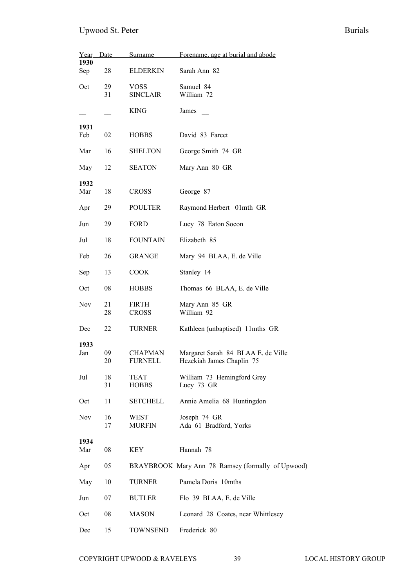| Year<br>1930 | Date     | Surname                        | Forename, age at burial and abode                               |
|--------------|----------|--------------------------------|-----------------------------------------------------------------|
| Sep          | 28       | <b>ELDERKIN</b>                | Sarah Ann 82                                                    |
| Oct          | 29<br>31 | <b>VOSS</b><br><b>SINCLAIR</b> | Samuel 84<br>William 72                                         |
|              |          | <b>KING</b>                    | James                                                           |
| 1931         |          |                                |                                                                 |
| Feb          | 02       | <b>HOBBS</b>                   | David 83 Farcet                                                 |
| Mar          | 16       | <b>SHELTON</b>                 | George Smith 74 GR                                              |
| May          | 12       | <b>SEATON</b>                  | Mary Ann 80 GR                                                  |
| 1932<br>Mar  | 18       | <b>CROSS</b>                   | George 87                                                       |
| Apr          | 29       | <b>POULTER</b>                 | Raymond Herbert 01mth GR                                        |
| Jun          | 29       | FORD                           | Lucy 78 Eaton Socon                                             |
| Jul          | 18       | <b>FOUNTAIN</b>                | Elizabeth 85                                                    |
| Feb          | 26       | <b>GRANGE</b>                  | Mary 94 BLAA, E. de Ville                                       |
| Sep          | 13       | <b>COOK</b>                    | Stanley 14                                                      |
| Oct          | 08       | <b>HOBBS</b>                   | Thomas 66 BLAA, E. de Ville                                     |
| <b>Nov</b>   | 21<br>28 | <b>FIRTH</b><br><b>CROSS</b>   | Mary Ann 85 GR<br>William 92                                    |
| Dec          | 22       | TURNER                         | Kathleen (unbaptised) 11mths GR                                 |
| 1933<br>Jan  | 09<br>20 | CHAPMAN<br>FURNELL             | Margaret Sarah 84 BLAA E. de Ville<br>Hezekiah James Chaplin 75 |
| Jul          | 18<br>31 | TEAT<br><b>HOBBS</b>           | William 73 Hemingford Grey<br>Lucy 73 GR                        |
| Oct          | 11       | SETCHELL                       | Annie Amelia 68 Huntingdon                                      |
| <b>Nov</b>   | 16<br>17 | WEST<br><b>MURFIN</b>          | Joseph 74 GR<br>Ada 61 Bradford, Yorks                          |
| 1934<br>Mar  | 08       | KEY                            | Hannah 78                                                       |
| Apr          | 05       |                                | BRAYBROOK Mary Ann 78 Ramsey (formally of Upwood)               |
| May          | 10       | <b>TURNER</b>                  | Pamela Doris 10mths                                             |
| Jun          | 07       | <b>BUTLER</b>                  | Flo 39 BLAA, E. de Ville                                        |
| Oct          | 08       | <b>MASON</b>                   | Leonard 28 Coates, near Whittlesey                              |
| Dec          | 15       | <b>TOWNSEND</b>                | Frederick 80                                                    |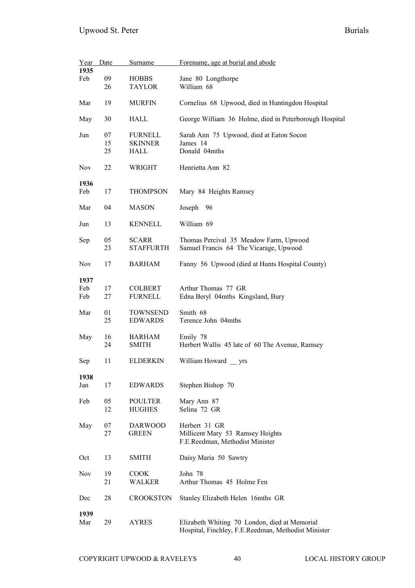| Year       | Date | Surname          | Forename, age at burial and abode                                   |
|------------|------|------------------|---------------------------------------------------------------------|
| 1935       |      |                  |                                                                     |
| Feb        | 09   | <b>HOBBS</b>     | Jane 80 Longthorpe                                                  |
|            | 26   | <b>TAYLOR</b>    | William 68                                                          |
| Mar        | 19   | <b>MURFIN</b>    | Cornelius 68 Upwood, died in Huntingdon Hospital                    |
| May        | 30   | <b>HALL</b>      | George William 36 Holme, died in Peterborough Hospital              |
| Jun        | 07   | <b>FURNELL</b>   | Sarah Ann 75 Upwood, died at Eaton Socon                            |
|            | 15   | <b>SKINNER</b>   | James 14                                                            |
|            | 25   | HALL             | Donald 04mths                                                       |
| <b>Nov</b> | 22   | WRIGHT           | Henrietta Ann 82                                                    |
| 1936       |      |                  |                                                                     |
| Feb        | 17   | <b>THOMPSON</b>  | Mary 84 Heights Ramsey                                              |
| Mar        | 04   | <b>MASON</b>     | Joseph<br>96                                                        |
| Jun        | 13   | <b>KENNELL</b>   | William 69                                                          |
| Sep        | 05   | <b>SCARR</b>     | Thomas Percival 35 Meadow Farm, Upwood                              |
|            | 23   | <b>STAFFURTH</b> | Samuel Francis 64 The Vicarage, Upwood                              |
|            |      |                  |                                                                     |
| Nov        | 17   | <b>BARHAM</b>    | Fanny 56 Upwood (died at Hunts Hospital County)                     |
| 1937       |      |                  |                                                                     |
| Feb        | 17   | <b>COLBERT</b>   | Arthur Thomas 77 GR                                                 |
| Feb        | 27   | <b>FURNELL</b>   | Edna Beryl 04mths Kingsland, Bury                                   |
|            |      |                  |                                                                     |
| Mar        | 01   | <b>TOWNSEND</b>  | Smith 68                                                            |
|            | 25   | <b>EDWARDS</b>   | Terence John 04mths                                                 |
|            |      |                  |                                                                     |
| May        | 16   | <b>BARHAM</b>    | Emily 78                                                            |
|            | 24   | <b>SMITH</b>     | Herbert Wallis 45 late of 60 The Avenue, Ramsey                     |
|            |      |                  |                                                                     |
| Sep        | 11   | <b>ELDERKIN</b>  | William Howard yrs                                                  |
|            |      |                  |                                                                     |
| 1938       |      |                  |                                                                     |
| Jan        | 17   | <b>EDWARDS</b>   | Stephen Bishop 70                                                   |
|            |      |                  |                                                                     |
| Feb        | 05   | <b>POULTER</b>   | Mary Ann 87                                                         |
|            | 12   | <b>HUGHES</b>    | Selina 72 GR                                                        |
| May        | 07   | <b>DARWOOD</b>   | Herbert 31 GR                                                       |
|            | 27   |                  |                                                                     |
|            |      | <b>GREEN</b>     | Millicent Mary 53 Ramsey Heights<br>F.E.Reedman, Methodist Minister |
|            |      |                  |                                                                     |
| Oct        | 13   | SMITH            | Daisy Maria 50 Sawtry                                               |
|            |      |                  |                                                                     |
| <b>Nov</b> | 19   | <b>COOK</b>      | John 78                                                             |
|            | 21   | WALKER           | Arthur Thomas 45 Holme Fen                                          |
|            |      |                  |                                                                     |
| Dec        | 28   | <b>CROOKSTON</b> | Stanley Elizabeth Helen 16mths GR                                   |
|            |      |                  |                                                                     |
| 1939       |      |                  |                                                                     |
| Mar        | 29   | <b>AYRES</b>     | Elizabeth Whiting 70 London, died at Memorial                       |
|            |      |                  | Hospital, Finchley, F.E.Reedman, Methodist Minister                 |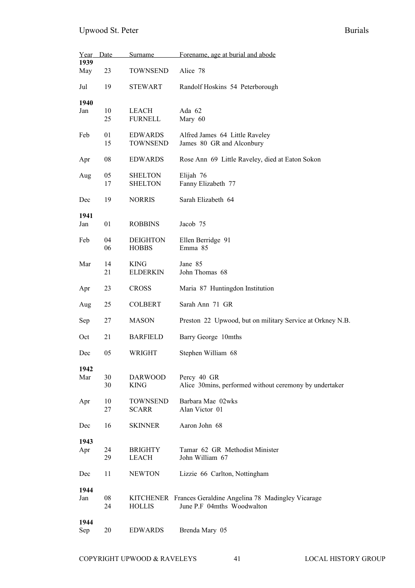| Year        | Date     | <b>Surname</b>                   | Forename, age at burial and abode                          |
|-------------|----------|----------------------------------|------------------------------------------------------------|
| 1939<br>May | 23       | <b>TOWNSEND</b>                  | Alice 78                                                   |
| Jul         | 19       | <b>STEWART</b>                   | Randolf Hoskins 54 Peterborough                            |
| 1940        |          |                                  |                                                            |
| Jan         | 10       | <b>LEACH</b>                     | Ada 62                                                     |
|             | 25       | <b>FURNELL</b>                   | Mary 60                                                    |
| Feb         | 01       | <b>EDWARDS</b>                   | Alfred James 64 Little Raveley                             |
|             | 15       | <b>TOWNSEND</b>                  | James 80 GR and Alconbury                                  |
| Apr         | 08       | <b>EDWARDS</b>                   | Rose Ann 69 Little Raveley, died at Eaton Sokon            |
|             |          |                                  |                                                            |
| Aug         | 05<br>17 | <b>SHELTON</b><br><b>SHELTON</b> | Elijah 76<br>Fanny Elizabeth 77                            |
|             |          |                                  |                                                            |
| Dec         | 19       | <b>NORRIS</b>                    | Sarah Elizabeth 64                                         |
| 1941        |          |                                  |                                                            |
| Jan         | 01       | <b>ROBBINS</b>                   | Jacob 75                                                   |
|             | 04       |                                  |                                                            |
| Feb         | 06       | <b>DEIGHTON</b><br><b>HOBBS</b>  | Ellen Berridge 91<br>Emma 85                               |
|             |          |                                  |                                                            |
| Mar         | 14       | <b>KING</b>                      | Jane 85                                                    |
|             | 21       | <b>ELDERKIN</b>                  | John Thomas 68                                             |
| Apr         | 23       | <b>CROSS</b>                     | Maria 87 Huntingdon Institution                            |
|             | 25       | <b>COLBERT</b>                   | Sarah Ann 71 GR                                            |
| Aug         |          |                                  |                                                            |
| Sep         | 27       | <b>MASON</b>                     | Preston 22 Upwood, but on military Service at Orkney N.B.  |
| Oct         | 21       | <b>BARFIELD</b>                  | Barry George 10mths                                        |
| Dec         | 05       | WRIGHT                           | Stephen William 68                                         |
| 1942        |          |                                  |                                                            |
| Mar         | 30       | <b>DARWOOD</b>                   | Percy 40 GR                                                |
|             | 30       | <b>KING</b>                      | Alice 30mins, performed without ceremony by undertaker     |
|             |          |                                  |                                                            |
| Apr         | 10       | <b>TOWNSEND</b>                  | Barbara Mae 02wks                                          |
|             | 27       | <b>SCARR</b>                     | Alan Victor 01                                             |
| Dec         | 16       | <b>SKINNER</b>                   | Aaron John 68                                              |
| 1943        |          |                                  |                                                            |
| Apr         | 24       | <b>BRIGHTY</b>                   | Tamar 62 GR Methodist Minister                             |
|             | 29       | <b>LEACH</b>                     | John William 67                                            |
|             |          |                                  |                                                            |
| Dec         | 11       | <b>NEWTON</b>                    | Lizzie 66 Carlton, Nottingham                              |
| 1944        |          |                                  |                                                            |
| Jan         | 08       |                                  | KITCHENER Frances Geraldine Angelina 78 Madingley Vicarage |
|             | 24       | <b>HOLLIS</b>                    | June P.F 04mths Woodwalton                                 |
|             |          |                                  |                                                            |
| 1944<br>Sep | 20       | <b>EDWARDS</b>                   | Brenda Mary 05                                             |
|             |          |                                  |                                                            |